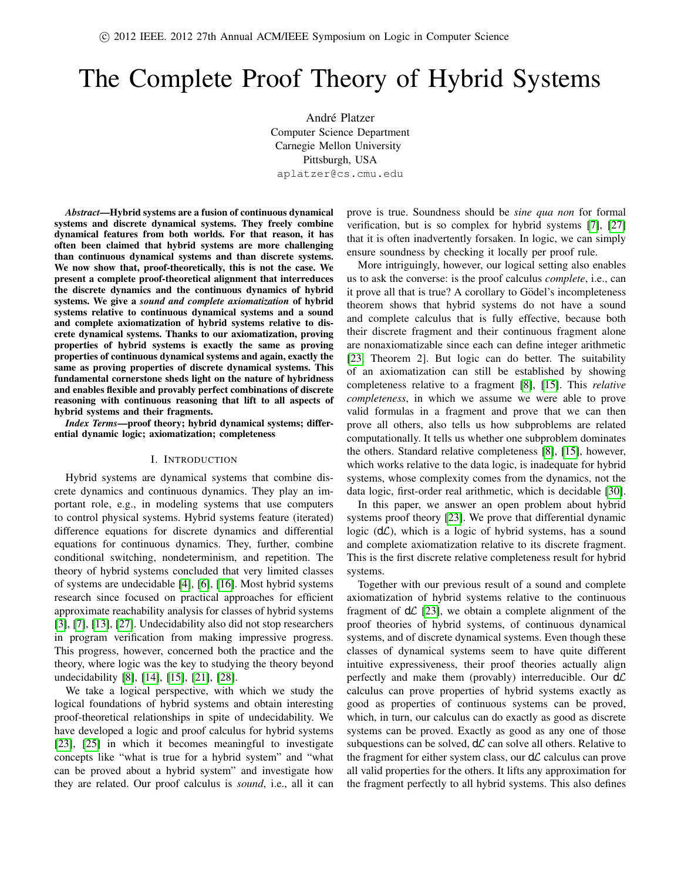# The Complete Proof Theory of Hybrid Systems

André Platzer Computer Science Department Carnegie Mellon University Pittsburgh, USA aplatzer@cs.cmu.edu

*Abstract*—Hybrid systems are a fusion of continuous dynamical systems and discrete dynamical systems. They freely combine dynamical features from both worlds. For that reason, it has often been claimed that hybrid systems are more challenging than continuous dynamical systems and than discrete systems. We now show that, proof-theoretically, this is not the case. We present a complete proof-theoretical alignment that interreduces the discrete dynamics and the continuous dynamics of hybrid systems. We give a *sound and complete axiomatization* of hybrid systems relative to continuous dynamical systems and a sound and complete axiomatization of hybrid systems relative to discrete dynamical systems. Thanks to our axiomatization, proving properties of hybrid systems is exactly the same as proving properties of continuous dynamical systems and again, exactly the same as proving properties of discrete dynamical systems. This fundamental cornerstone sheds light on the nature of hybridness and enables flexible and provably perfect combinations of discrete reasoning with continuous reasoning that lift to all aspects of hybrid systems and their fragments.

*Index Terms*—proof theory; hybrid dynamical systems; differential dynamic logic; axiomatization; completeness

#### I. INTRODUCTION

Hybrid systems are dynamical systems that combine discrete dynamics and continuous dynamics. They play an important role, e.g., in modeling systems that use computers to control physical systems. Hybrid systems feature (iterated) difference equations for discrete dynamics and differential equations for continuous dynamics. They, further, combine conditional switching, nondeterminism, and repetition. The theory of hybrid systems concluded that very limited classes of systems are undecidable [\[4\]](#page-9-0), [\[6\]](#page-9-1), [\[16\]](#page-9-2). Most hybrid systems research since focused on practical approaches for efficient approximate reachability analysis for classes of hybrid systems [\[3\]](#page-9-3), [\[7\]](#page-9-4), [\[13\]](#page-9-5), [\[27\]](#page-9-6). Undecidability also did not stop researchers in program verification from making impressive progress. This progress, however, concerned both the practice and the theory, where logic was the key to studying the theory beyond undecidability [\[8\]](#page-9-7), [\[14\]](#page-9-8), [\[15\]](#page-9-9), [\[21\]](#page-9-10), [\[28\]](#page-9-11).

We take a logical perspective, with which we study the logical foundations of hybrid systems and obtain interesting proof-theoretical relationships in spite of undecidability. We have developed a logic and proof calculus for hybrid systems [\[23\]](#page-9-12), [\[25\]](#page-9-13) in which it becomes meaningful to investigate concepts like "what is true for a hybrid system" and "what can be proved about a hybrid system" and investigate how they are related. Our proof calculus is *sound*, i.e., all it can prove is true. Soundness should be *sine qua non* for formal verification, but is so complex for hybrid systems [\[7\]](#page-9-4), [\[27\]](#page-9-6) that it is often inadvertently forsaken. In logic, we can simply ensure soundness by checking it locally per proof rule.

More intriguingly, however, our logical setting also enables us to ask the converse: is the proof calculus *complete*, i.e., can it prove all that is true? A corollary to Gödel's incompleteness theorem shows that hybrid systems do not have a sound and complete calculus that is fully effective, because both their discrete fragment and their continuous fragment alone are nonaxiomatizable since each can define integer arithmetic [\[23,](#page-9-12) Theorem 2]. But logic can do better. The suitability of an axiomatization can still be established by showing completeness relative to a fragment [\[8\]](#page-9-7), [\[15\]](#page-9-9). This *relative completeness*, in which we assume we were able to prove valid formulas in a fragment and prove that we can then prove all others, also tells us how subproblems are related computationally. It tells us whether one subproblem dominates the others. Standard relative completeness [\[8\]](#page-9-7), [\[15\]](#page-9-9), however, which works relative to the data logic, is inadequate for hybrid systems, whose complexity comes from the dynamics, not the data logic, first-order real arithmetic, which is decidable [\[30\]](#page-9-14).

In this paper, we answer an open problem about hybrid systems proof theory [\[23\]](#page-9-12). We prove that differential dynamic logic  $(d\mathcal{L})$ , which is a logic of hybrid systems, has a sound and complete axiomatization relative to its discrete fragment. This is the first discrete relative completeness result for hybrid systems.

Together with our previous result of a sound and complete axiomatization of hybrid systems relative to the continuous fragment of  $d\mathcal{L}$  [\[23\]](#page-9-12), we obtain a complete alignment of the proof theories of hybrid systems, of continuous dynamical systems, and of discrete dynamical systems. Even though these classes of dynamical systems seem to have quite different intuitive expressiveness, their proof theories actually align perfectly and make them (provably) interreducible. Our  $d\mathcal{L}$ calculus can prove properties of hybrid systems exactly as good as properties of continuous systems can be proved, which, in turn, our calculus can do exactly as good as discrete systems can be proved. Exactly as good as any one of those subquestions can be solved,  $d\mathcal{L}$  can solve all others. Relative to the fragment for either system class, our  $d\mathcal{L}$  calculus can prove all valid properties for the others. It lifts any approximation for the fragment perfectly to all hybrid systems. This also defines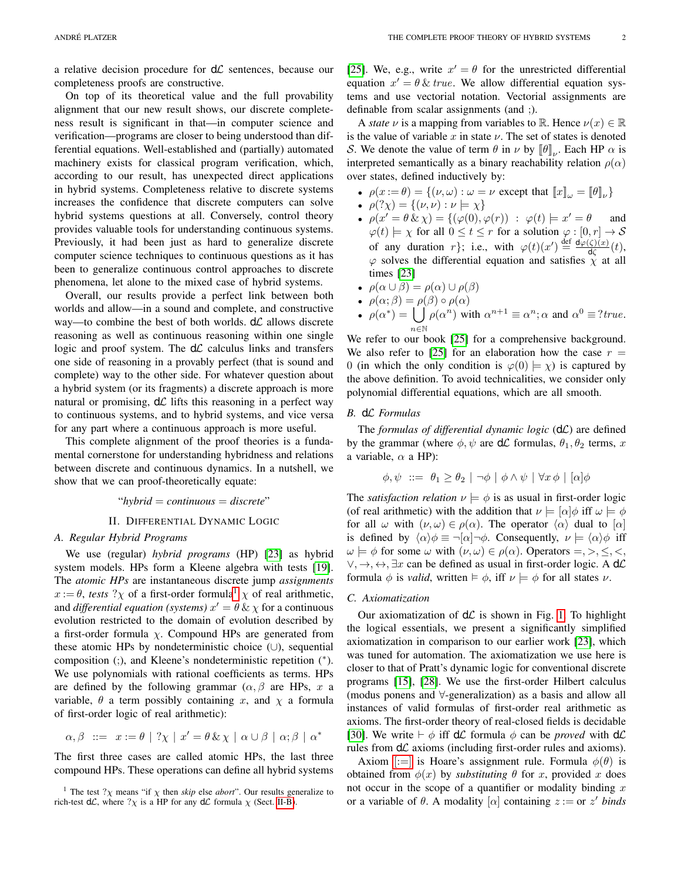a relative decision procedure for  $d\mathcal{L}$  sentences, because our completeness proofs are constructive.

On top of its theoretical value and the full provability alignment that our new result shows, our discrete completeness result is significant in that—in computer science and verification—programs are closer to being understood than differential equations. Well-established and (partially) automated machinery exists for classical program verification, which, according to our result, has unexpected direct applications in hybrid systems. Completeness relative to discrete systems increases the confidence that discrete computers can solve hybrid systems questions at all. Conversely, control theory provides valuable tools for understanding continuous systems. Previously, it had been just as hard to generalize discrete computer science techniques to continuous questions as it has been to generalize continuous control approaches to discrete phenomena, let alone to the mixed case of hybrid systems.

Overall, our results provide a perfect link between both worlds and allow—in a sound and complete, and constructive way—to combine the best of both worlds.  $d\mathcal{L}$  allows discrete reasoning as well as continuous reasoning within one single logic and proof system. The  $d\mathcal{L}$  calculus links and transfers one side of reasoning in a provably perfect (that is sound and complete) way to the other side. For whatever question about a hybrid system (or its fragments) a discrete approach is more natural or promising,  $d\mathcal{L}$  lifts this reasoning in a perfect way to continuous systems, and to hybrid systems, and vice versa for any part where a continuous approach is more useful.

This complete alignment of the proof theories is a fundamental cornerstone for understanding hybridness and relations between discrete and continuous dynamics. In a nutshell, we show that we can proof-theoretically equate:

"*hybrid* = *continuous* = *discrete*"

# II. DIFFERENTIAL DYNAMIC LOGIC

# *A. Regular Hybrid Programs*

We use (regular) *hybrid programs* (HP) [\[23\]](#page-9-12) as hybrid system models. HPs form a Kleene algebra with tests [\[19\]](#page-9-15). The *atomic HPs* are instantaneous discrete jump *assignments*  $x := \theta$ , *tests* ?  $\chi$  of a first-order formula<sup>[1](#page-1-0)</sup>  $\chi$  of real arithmetic, and *differential equation (systems)*  $x' = \theta \& \chi$  for a continuous evolution restricted to the domain of evolution described by a first-order formula  $\chi$ . Compound HPs are generated from these atomic HPs by nondeterministic choice (∪), sequential composition (;), and Kleene's nondeterministic repetition (\*). We use polynomials with rational coefficients as terms. HPs are defined by the following grammar  $(\alpha, \beta)$  are HPs, x a variable,  $\theta$  a term possibly containing x, and  $\chi$  a formula of first-order logic of real arithmetic):

$$
\alpha, \beta \ ::= x := \theta \mid ?\chi \mid x' = \theta \& \chi \mid \alpha \cup \beta \mid \alpha; \beta \mid \alpha^*
$$

The first three cases are called atomic HPs, the last three compound HPs. These operations can define all hybrid systems

[\[25\]](#page-9-13). We, e.g., write  $x' = \theta$  for the unrestricted differential equation  $x' = \theta \& true$ . We allow differential equation systems and use vectorial notation. Vectorial assignments are definable from scalar assignments (and ;).

A *state*  $\nu$  is a mapping from variables to R. Hence  $\nu(x) \in \mathbb{R}$ is the value of variable x in state  $\nu$ . The set of states is denoted S. We denote the value of term  $\theta$  in  $\nu$  by  $[\![\theta]\!]_{\nu}$ . Each HP  $\alpha$  is interpreted semantically as a binary reachability relation  $\rho(\alpha)$ over states, defined inductively by:

- $\rho(x := \theta) = \{(\nu, \omega) : \omega = \nu \text{ except that } [x]_{\omega} = [\![\theta]\!]_{\nu}\}\$
- $\rho$  $(\gamma \chi) = \{ (\nu, \nu) : \nu \models \chi \}$
- $\rho(x' = \theta \& \chi) = \{(\varphi(0), \varphi(r)) : \varphi(t) \models x' = \theta \text{ and}$  $\varphi(t) \models \chi$  for all  $0 \le t \le r$  for a solution  $\varphi : [0, r] \to S$ of any duration r}; i.e., with  $\varphi(t)(x') \stackrel{\text{def}}{=} \frac{d\varphi(\zeta)(x)}{dt}$  $\frac{\zeta(x)}{\zeta(x)}(t),$  $\varphi$  solves the differential equation and satisfies  $\chi$  at all times [\[23\]](#page-9-12)
- $\rho(\alpha \cup \beta) = \rho(\alpha) \cup \rho(\beta)$
- $\rho(\alpha;\beta) = \rho(\beta) \circ \rho(\alpha)$
- $\rho(\alpha^*) = |$ n∈N  $\rho(\alpha^n)$  with  $\alpha^{n+1} \equiv \alpha^n; \alpha$  and  $\alpha^0 \equiv ?true$ .

We refer to our book [\[25\]](#page-9-13) for a comprehensive background. We also refer to [\[25\]](#page-9-13) for an elaboration how the case  $r =$ 0 (in which the only condition is  $\varphi(0) \models \chi$ ) is captured by the above definition. To avoid technicalities, we consider only polynomial differential equations, which are all smooth.

#### <span id="page-1-1"></span>*B.* dL *Formulas*

The *formulas of differential dynamic logic* (dL) are defined by the grammar (where  $\phi$ ,  $\psi$  are d $\mathcal{L}$  formulas,  $\theta_1$ ,  $\theta_2$  terms, x a variable,  $\alpha$  a HP):

$$
\phi, \psi \ ::= \ \theta_1 \ge \theta_2 \mid \neg \phi \mid \phi \land \psi \mid \forall x \, \phi \mid [\alpha] \phi
$$

The *satisfaction relation*  $\nu \models \phi$  is as usual in first-order logic (of real arithmetic) with the addition that  $\nu \models [\alpha]\phi$  iff  $\omega \models \phi$ for all  $\omega$  with  $(\nu, \omega) \in \rho(\alpha)$ . The operator  $\langle \alpha \rangle$  dual to  $[\alpha]$ is defined by  $\langle \alpha \rangle \phi \equiv \neg[\alpha] \neg \phi$ . Consequently,  $\nu \models \langle \alpha \rangle \phi$  iff  $\omega \models \phi$  for some  $\omega$  with  $(\nu, \omega) \in \rho(\alpha)$ . Operators =, >,  $\leq$ , <,  $\vee, \rightarrow, \leftrightarrow, \exists x$  can be defined as usual in first-order logic. A d $\mathcal{L}$ formula  $\phi$  is *valid*, written  $\models \phi$ , iff  $\nu \models \phi$  for all states  $\nu$ .

### *C. Axiomatization*

Our axiomatization of  $d\mathcal{L}$  is shown in Fig. [1.](#page-2-0) To highlight the logical essentials, we present a significantly simplified axiomatization in comparison to our earlier work [\[23\]](#page-9-12), which was tuned for automation. The axiomatization we use here is closer to that of Pratt's dynamic logic for conventional discrete programs [\[15\]](#page-9-9), [\[28\]](#page-9-11). We use the first-order Hilbert calculus (modus ponens and ∀-generalization) as a basis and allow all instances of valid formulas of first-order real arithmetic as axioms. The first-order theory of real-closed fields is decidable [\[30\]](#page-9-14). We write  $\vdash \phi$  iff d*L* formula  $\phi$  can be *proved* with d*L* rules from  $d\mathcal{L}$  axioms (including first-order rules and axioms).

Axiom [\[:=\]](#page-2-1) is Hoare's assignment rule. Formula  $\phi(\theta)$  is obtained from  $\phi(x)$  by *substituting*  $\theta$  for x, provided x does not occur in the scope of a quantifier or modality binding  $x$ or a variable of  $\theta$ . A modality  $[\alpha]$  containing  $z :=$  or  $z'$  binds

<span id="page-1-0"></span><sup>&</sup>lt;sup>1</sup> The test  $?$ <sub>X</sub> means "if  $\chi$  then *skip* else *abort*". Our results generalize to rich-test  $d\mathcal{L}$ , where  $? \chi$  is a HP for any  $d\mathcal{L}$  formula  $\chi$  (Sect. [II-B\)](#page-1-1).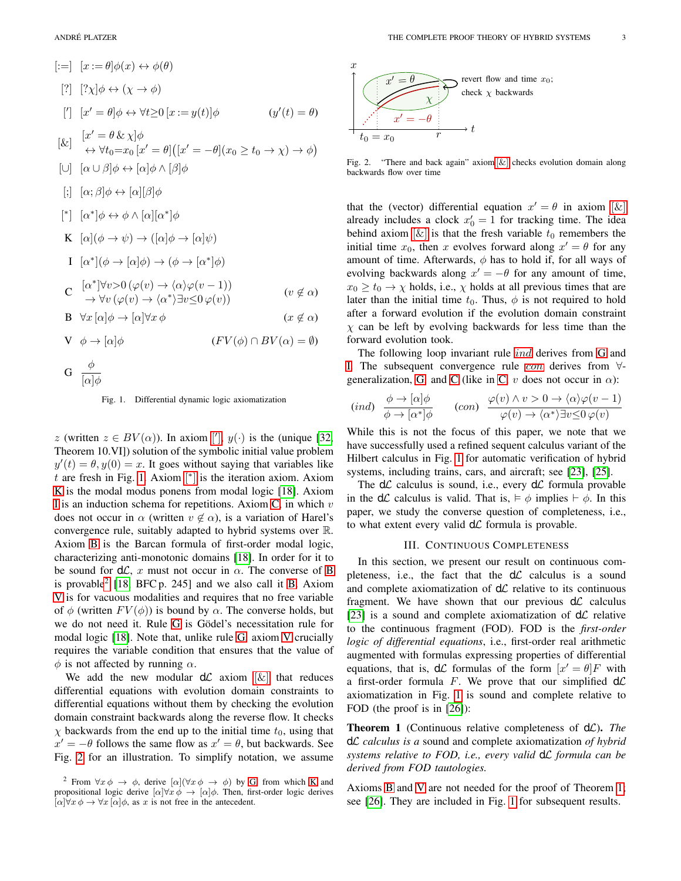<span id="page-2-18"></span><span id="page-2-17"></span><span id="page-2-16"></span><span id="page-2-11"></span><span id="page-2-2"></span><span id="page-2-1"></span>
$$
[:=] [x := \theta] \phi(x) \leftrightarrow \phi(\theta)
$$
  
\n
$$
[?] [? \chi] \phi \leftrightarrow (\chi \rightarrow \phi)
$$
  
\n
$$
[r] [x' = \theta] \phi \leftrightarrow \forall t \ge 0 [x := y(t)] \phi \qquad (y'(t) = \theta)
$$
  
\n
$$
[x] [x' = \theta \& \chi] \phi
$$
  
\n
$$
\Leftrightarrow \forall t_0 = x_0 [x' = \theta] ([x' = -\theta](x_0 \ge t_0 \rightarrow \chi) \rightarrow \phi)
$$
  
\n
$$
[ \cup ] [ \alpha \cup \beta] \phi \leftrightarrow [\alpha] \phi \land [\beta] \phi
$$
  
\n
$$
[ \cdot ] [ \alpha; \beta] \phi \leftrightarrow [\alpha] [\beta] \phi
$$
  
\n
$$
[ * ] [ \alpha^*] \phi \leftrightarrow \phi \land [\alpha] [\alpha^*] \phi
$$
  
\n
$$
[ \alpha^*] (\phi \rightarrow \psi) \rightarrow ([\alpha] \phi \rightarrow [\alpha] \psi)
$$
  
\n
$$
[ \alpha^*] (\phi \rightarrow [\alpha] \phi) \rightarrow (\phi \rightarrow [\alpha^*] \phi)
$$
  
\n
$$
[ \alpha^*] \forall v > 0 (\varphi(v) \rightarrow \langle \alpha \rangle \varphi(v - 1))
$$
  
\n
$$
[ \alpha^*] \forall v > 0 (\varphi(v) \rightarrow \langle \alpha^* \rangle \exists v \le 0 \varphi(v))
$$
  
\n
$$
[ \alpha \nmid \alpha \Rightarrow \forall v (\varphi(v) \rightarrow \langle \alpha^* \rangle \exists v \le 0 \varphi(v))
$$
  
\n
$$
[ \alpha \nmid \alpha \Rightarrow \forall v [\alpha] \phi \rightarrow [\alpha] \forall x \phi \qquad (x \notin \alpha)
$$
  
\n
$$
[ \alpha \Rightarrow [\alpha] \phi \qquad (FV(\phi) \cap BV(\alpha) = \emptyset)
$$

<span id="page-2-10"></span><span id="page-2-9"></span><span id="page-2-7"></span><span id="page-2-6"></span><span id="page-2-5"></span><span id="page-2-4"></span><span id="page-2-3"></span>
$$
G \ \frac{\phi}{[\alpha]\phi}
$$

<span id="page-2-0"></span>Fig. 1. Differential dynamic logic axiomatization

z (written  $z \in BV(\alpha)$ ). In axiom [\[](#page-2-2)'],  $y(\cdot)$  is the (unique [\[32,](#page-9-16) Theorem 10.VI]) solution of the symbolic initial value problem  $y'(t) = \theta, y(0) = x$ . It goes without saying that variables like  $t$  are fresh in Fig. [1.](#page-2-0) Axiom  $[$ <sup>\*</sup> $]$  is the iteration axiom. Axiom [K](#page-2-4) is the modal modus ponens from modal logic [\[18\]](#page-9-17). Axiom [I](#page-2-5) is an induction schema for repetitions. Axiom  $C$ , in which  $v$ does not occur in  $\alpha$  (written  $v \notin \alpha$ ), is a variation of Harel's convergence rule, suitably adapted to hybrid systems over R. Axiom [B](#page-2-7) is the Barcan formula of first-order modal logic, characterizing anti-monotonic domains [\[18\]](#page-9-17). In order for it to be sound for  $d\mathcal{L}$ , x must not occur in  $\alpha$ . The converse of [B](#page-2-7) is provable<sup>[2](#page-2-8)</sup> [\[18,](#page-9-17) BFC p. 245] and we also call it [B.](#page-2-7) Axiom [V](#page-2-9) is for vacuous modalities and requires that no free variable of  $\phi$  (written  $FV(\phi)$ ) is bound by  $\alpha$ . The converse holds, but we do not need it. Rule [G](#page-2-10) is Gödel's necessitation rule for modal logic [\[18\]](#page-9-17). Note that, unlike rule [G,](#page-2-10) axiom [V](#page-2-9) crucially requires the variable condition that ensures that the value of  $\phi$  is not affected by running  $\alpha$ .

We add the new modular  $d\mathcal{L}$  axiom  $[\&]$  that reduces differential equations with evolution domain constraints to differential equations without them by checking the evolution domain constraint backwards along the reverse flow. It checks  $\chi$  backwards from the end up to the initial time  $t_0$ , using that  $x' = -\theta$  follows the same flow as  $x' = \theta$ , but backwards. See Fig. [2](#page-2-12) for an illustration. To simplify notation, we assume



<span id="page-2-12"></span>Fig. 2. "There and back again" axiom  $[\&]$  checks evolution domain along backwards flow over time

that the (vector) differential equation  $x' = \theta$  in axiom  $[\&]$ already includes a clock  $x'_0 = 1$  for tracking time. The idea behind axiom  $[\&]$  is that the fresh variable  $t_0$  remembers the initial time  $x_0$ , then x evolves forward along  $x' = \theta$  for any amount of time. Afterwards,  $\phi$  has to hold if, for all ways of evolving backwards along  $x' = -\theta$  for any amount of time,  $x_0 \ge t_0 \to \chi$  holds, i.e.,  $\chi$  holds at all previous times that are later than the initial time  $t_0$ . Thus,  $\phi$  is not required to hold after a forward evolution if the evolution domain constraint  $\chi$  can be left by evolving backwards for less time than the forward evolution took.

The following loop invariant rule *[ind](#page-2-13)* derives from [G](#page-2-10) and [I.](#page-2-5) The subsequent convergence rule [con](#page-2-14) derives from ∀- generalization, [G,](#page-2-10) and [C](#page-2-6) (like in [C,](#page-2-6) v does not occur in  $\alpha$ ):

<span id="page-2-14"></span><span id="page-2-13"></span>
$$
(ind) \quad \frac{\phi \to [\alpha]\phi}{\phi \to [\alpha^*]\phi} \qquad (con) \quad \frac{\varphi(v) \land v > 0 \to \langle \alpha \rangle \varphi(v-1)}{\varphi(v) \to \langle \alpha^* \rangle \exists v \leq 0 \, \varphi(v)}
$$

While this is not the focus of this paper, we note that we have successfully used a refined sequent calculus variant of the Hilbert calculus in Fig. [1](#page-2-0) for automatic verification of hybrid systems, including trains, cars, and aircraft; see [\[23\]](#page-9-12), [\[25\]](#page-9-13).

The  $d\mathcal{L}$  calculus is sound, i.e., every  $d\mathcal{L}$  formula provable in the dL calculus is valid. That is,  $\models \phi$  implies  $\models \phi$ . In this paper, we study the converse question of completeness, i.e., to what extent every valid  $d\mathcal{L}$  formula is provable.

#### III. CONTINUOUS COMPLETENESS

In this section, we present our result on continuous completeness, i.e., the fact that the  $d\mathcal{L}$  calculus is a sound and complete axiomatization of  $d\mathcal{L}$  relative to its continuous fragment. We have shown that our previous  $d\mathcal{L}$  calculus [\[23\]](#page-9-12) is a sound and complete axiomatization of  $d\mathcal{L}$  relative to the continuous fragment (FOD). FOD is the *first-order logic of differential equations*, i.e., first-order real arithmetic augmented with formulas expressing properties of differential equations, that is,  $d\mathcal{L}$  formulas of the form  $[x' = \theta]F$  with a first-order formula F. We prove that our simplified  $d\mathcal{L}$ axiomatization in Fig. [1](#page-2-0) is sound and complete relative to FOD (the proof is in [\[26\]](#page-9-18)):

<span id="page-2-15"></span>Theorem 1 (Continuous relative completeness of dL). *The* dL *calculus is a* sound and complete axiomatization *of hybrid systems relative to FOD, i.e., every valid* dL *formula can be derived from FOD tautologies.*

Axioms [B](#page-2-7) and [V](#page-2-9) are not needed for the proof of Theorem [1;](#page-2-15) see [\[26\]](#page-9-18). They are included in Fig. [1](#page-2-0) for subsequent results.

<span id="page-2-8"></span><sup>&</sup>lt;sup>2</sup> From  $\forall x \phi \rightarrow \phi$ , derive  $[\alpha](\forall x \phi \rightarrow \phi)$  by [G,](#page-2-10) from which [K](#page-2-4) and propositional logic derive  $[\alpha]\forall x \phi \rightarrow [\alpha]\phi$ . Then, first-order logic derives  $[\alpha] \forall x \phi \rightarrow \forall x [\alpha] \phi$ , as x is not free in the antecedent.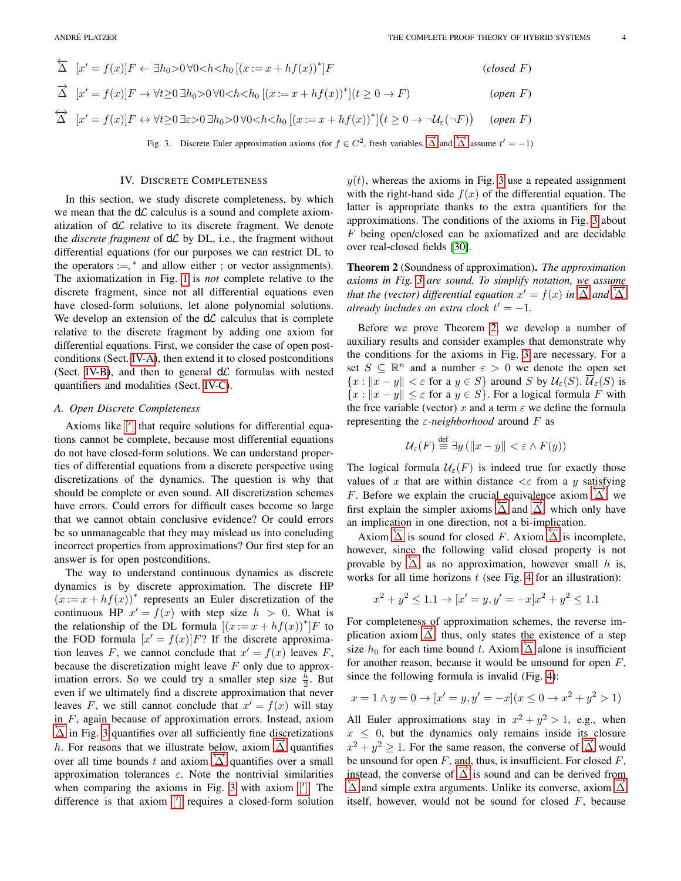<span id="page-3-3"></span><span id="page-3-1"></span><span id="page-3-0"></span>
$$
\overleftarrow{\Delta} \ [x' = f(x)]F \leftarrow \exists h_0 > 0 \,\forall 0 < h < h_0 \left[ (x := x + h f(x))^* \right]F \tag{closed } F
$$
\n
$$
\overrightarrow{\Delta} \ [x' = f(x)]F \rightarrow \forall t \ge 0 \,\exists h_0 > 0 \,\forall 0 < h < h_0 \left[ (x := x + h f(x))^* \right] \quad (open \ F)
$$
\n
$$
\overleftrightarrow{\Delta} \ [x' = f(x)]F \leftrightarrow \forall t \ge 0 \,\exists \varepsilon > 0 \,\exists h_0 > 0 \,\forall 0 < h < h_0 \left[ (x := x + h f(x))^* \right] \quad (t \ge 0 \to \neg \mathcal{U}_{\varepsilon}(\neg F)) \tag{open } F
$$

<span id="page-3-4"></span>Fig. 3. Discrete Euler approximation axioms (for  $f \in C^2$ , fresh variables,  $\overrightarrow{\Delta}$  and  $\overleftrightarrow{\Delta}$  assume  $t' = -1$ )

#### IV. DISCRETE COMPLETENESS

<span id="page-3-7"></span><span id="page-3-6"></span>In this section, we study discrete completeness, by which we mean that the  $d\mathcal{L}$  calculus is a sound and complete axiomatization of  $d\mathcal{L}$  relative to its discrete fragment. We denote the *discrete fragment* of  $d\mathcal{L}$  by DL, i.e., the fragment without differential equations (for our purposes we can restrict DL to the operators  $:=$ ,  $*$  and allow either ; or vector assignments). The axiomatization in Fig. [1](#page-2-0) is *not* complete relative to the discrete fragment, since not all differential equations even have closed-form solutions, let alone polynomial solutions. We develop an extension of the  $d\mathcal{L}$  calculus that is complete relative to the discrete fragment by adding one axiom for differential equations. First, we consider the case of open postconditions (Sect. [IV-A\)](#page-3-2), then extend it to closed postconditions (Sect. [IV-B\)](#page-6-0), and then to general  $d\mathcal{L}$  formulas with nested quantifiers and modalities (Sect. [IV-C\)](#page-6-1).

### <span id="page-3-2"></span>*A. Open Discrete Completeness*

Axioms like [\[](#page-2-2)'] that require solutions for differential equations cannot be complete, because most differential equations do not have closed-form solutions. We can understand properties of differential equations from a discrete perspective using discretizations of the dynamics. The question is why that should be complete or even sound. All discretization schemes have errors. Could errors for difficult cases become so large that we cannot obtain conclusive evidence? Or could errors be so unmanageable that they may mislead us into concluding incorrect properties from approximations? Our first step for an answer is for open postconditions.

The way to understand continuous dynamics as discrete dynamics is by discrete approximation. The discrete HP  $(x := x + h f(x))$ <sup>\*</sup> represents an Euler discretization of the continuous HP  $x' = f(x)$  with step size  $h > 0$ . What is the relationship of the DL formula  $[(x := x + hf(x))^{*}]F$  to the FOD formula  $[x' = f(x)]F$ ? If the discrete approximation leaves F, we cannot conclude that  $x' = f(x)$  leaves F, because the discretization might leave  $F$  only due to approximation errors. So we could try a smaller step size  $\frac{h}{2}$ . But even if we ultimately find a discrete approximation that never leaves F, we still cannot conclude that  $x' = f(x)$  will stay in F, again because of approximation errors. Instead, axiom  $\overline{\Delta}$  in Fig. [3](#page-3-4) quantifies over all sufficiently fine discretizations  $\Delta$  in Fig. 5 quantifies over an sumeromy line discretizations  $\Delta$  puantifies  $\alpha$ . For reasons that we must decode to a small  $\Delta$  quantifies over a small approximation tolerances  $\varepsilon$ . Note the nontrivial similarities when comparing the axioms in Fig. [3](#page-3-4) with axiom [\[](#page-2-2)']. The difference is that axiom [\[](#page-2-2)'] requires a closed-form solution

 $y(t)$ , whereas the axioms in Fig. [3](#page-3-4) use a repeated assignment with the right-hand side  $f(x)$  of the differential equation. The latter is appropriate thanks to the extra quantifiers for the approximations. The conditions of the axioms in Fig. [3](#page-3-4) about F being open/closed can be axiomatized and are decidable over real-closed fields [\[30\]](#page-9-14).

<span id="page-3-5"></span>Theorem 2 (Soundness of approximation). *The approximation axioms in Fig. [3](#page-3-4) are sound. To simplify notation, we assume*  $\alpha$  *that the (vector) differential equation*  $x' = f(x)$  *in*  $\overrightarrow{\Delta}$  *and*  $\overrightarrow{\Delta}$ *already includes an extra clock*  $t' = -1$ *.* 

Before we prove Theorem [2,](#page-3-5) we develop a number of auxiliary results and consider examples that demonstrate why the conditions for the axioms in Fig. [3](#page-3-4) are necessary. For a set  $S \subseteq \mathbb{R}^n$  and a number  $\varepsilon > 0$  we denote the open set  ${x : ||x - y|| < \varepsilon$  for a  $y \in S}$  around S by  $\mathcal{U}_{\varepsilon}(S)$ .  $\overline{\mathcal{U}}_{\varepsilon}(S)$  is  ${x : ||x - y|| \leq \varepsilon$  for a  $y \in S}$ . For a logical formula F with the free variable (vector) x and a term  $\varepsilon$  we define the formula representing the  $\varepsilon$ -*neighborhood* around F as

$$
\mathcal{U}_{\varepsilon}(F) \stackrel{\text{def}}{=} \exists y \left( \|x - y\| < \varepsilon \land F(y) \right)
$$

The logical formula  $\mathcal{U}_{\varepsilon}(F)$  is indeed true for exactly those values of x that are within distance  $\lt\varepsilon$  from a y satisfying F. Before we explain the crucial equivalence axiom  $\overrightarrow{\Delta}$ , we  $\overline{\text{A}}$ . Before we explain the endering equivalence axiom  $\overline{\text{A}}$ , which only have an implication in one direction, not a bi-implication.

Axiom  $\overline{\Delta}$  is sound for closed F. Axiom  $\overline{\Delta}$  is incomplete, however, since the following valid closed property is not provable by  $\overline{\Delta}$ , as no approximation, however small h is, works for all time horizons  $t$  (see Fig. [4](#page-4-0) for an illustration):

$$
x^{2} + y^{2} \le 1.1 \rightarrow [x' = y, y' = -x]x^{2} + y^{2} \le 1.1
$$

For completeness of approximation schemes, the reverse implication axiom  $\overrightarrow{\Delta}$ , thus, only states the existence of a step size  $h_0$  for each time bound t. Axiom  $\overline{\Delta}$  alone is insufficient for another reason, because it would be unsound for open  $F$ , since the following formula is invalid (Fig. [4\)](#page-4-0):

$$
x = 1 \land y = 0 \to [x' = y, y' = -x](x \le 0 \to x^2 + y^2 > 1)
$$

All Euler approximations stay in  $x^2 + y^2 > 1$ , e.g., when  $x \leq 0$ , but the dynamics only remains inside its closure  $x^2 + y^2 \ge 1$ . For the same reason, the converse of  $\overrightarrow{\Delta}$  would be unsound for open  $F$ , and, thus, is insufficient. For closed  $F$ , instead, the converse of  $\Delta$  is sound and can be derived from  $\frac{\text{inreal}}{\Delta}$  is sound and can be derived from  $\overline{\Delta}$  and simple extra arguments. Unlike its converse, axiom  $\overline{\Delta}$ itself, however, would not be sound for closed  $F$ , because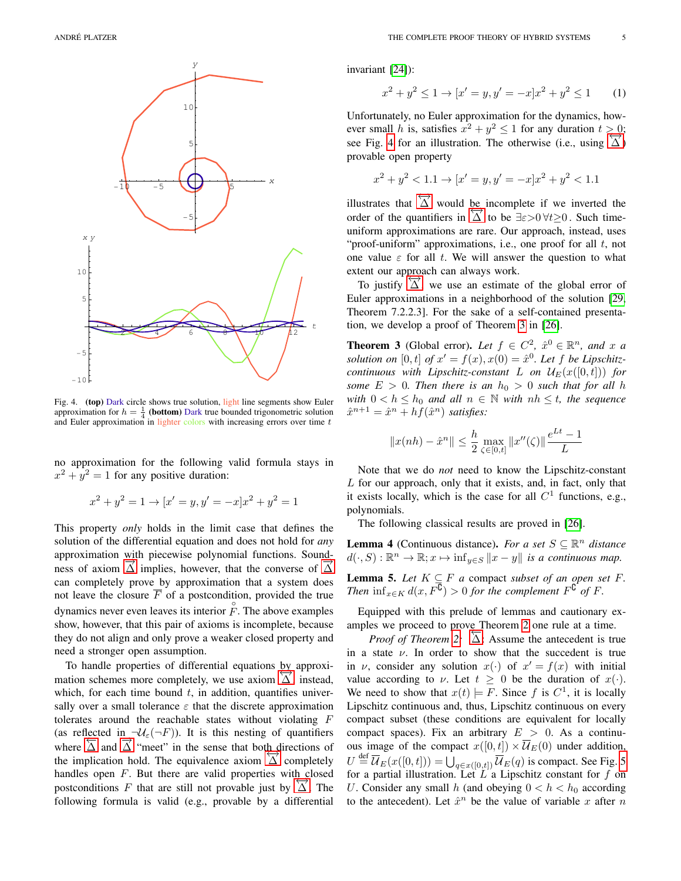

<span id="page-4-0"></span>Fig. 4. (top) Dark circle shows true solution, light line segments show Euler approximation for  $h = \frac{1}{4}$  (**bottom**) Dark true bounded trigonometric solution and Euler approximation in lighter colors with increasing errors over time  $t$ 

no approximation for the following valid formula stays in  $x^2 + y^2 = 1$  for any positive duration:

$$
x^{2} + y^{2} = 1 \rightarrow [x' = y, y' = -x]x^{2} + y^{2} = 1
$$

This property *only* holds in the limit case that defines the solution of the differential equation and does not hold for *any* approximation with piecewise polynomial functions. Soundness of axiom  $\overrightarrow{\Delta}$  implies, however, that the converse of  $\overrightarrow{\Delta}$ can completely prove by approximation that a system does not leave the closure  $\overline{F}$  of a postcondition, provided the true dynamics never even leaves its interior  $\hat{F}$ . The above examples show, however, that this pair of axioms is incomplete, because they do not align and only prove a weaker closed property and need a stronger open assumption.

To handle properties of differential equations by approxi-To nance properties or directional equations  $\frac{\partial y}{\partial \lambda}$  approximation schemes more completely, we use axiom  $\overrightarrow{\Delta}$ , instead, which, for each time bound  $t$ , in addition, quantifies universally over a small tolerance  $\varepsilon$  that the discrete approximation tolerates around the reachable states without violating F (as reflected in  $\neg \mathcal{U}_{\varepsilon}(\neg F)$ ). It is this nesting of quantifiers where  $\overleftrightarrow{\Delta}$  and  $\overrightarrow{\Delta}$  "meet" in the sense that both directions of where  $\triangle$  and  $\triangle$  meet in the sense that bout directions of the implication hold. The equivalence axiom  $\overrightarrow{\triangle}$  completely handles open  $F$ . But there are valid properties with closed postconditions F that are still not provable just by  $\overrightarrow{\Delta}$ . The following formula is valid (e.g., provable by a differential

invariant [\[24\]](#page-9-19)):

<span id="page-4-3"></span>
$$
x^{2} + y^{2} \le 1 \rightarrow [x' = y, y' = -x]x^{2} + y^{2} \le 1
$$
 (1)

Unfortunately, no Euler approximation for the dynamics, however small h is, satisfies  $x^2 + y^2 \le 1$  for any duration  $t > 0$ ; see Fig. [4](#page-4-0) for an illustration. The otherwise (i.e., using  $\overrightarrow{\Delta}$ ) provable open property

$$
x^{2} + y^{2} < 1.1 \rightarrow [x' = y, y' = -x]x^{2} + y^{2} < 1.1
$$

illustrates that  $\overleftrightarrow{\Delta}$  would be incomplete if we inverted the order of the quantifiers in  $\overleftrightarrow{\Delta}$  to be  $\exists \varepsilon > 0 \forall t \ge 0$ . Such timeuniform approximations are rare. Our approach, instead, uses "proof-uniform" approximations, i.e., one proof for all  $t$ , not one value  $\varepsilon$  for all t. We will answer the question to what extent our approach can always work.

To justify  $\overrightarrow{\Delta}$ , we use an estimate of the global error of Euler approximations in a neighborhood of the solution [\[29,](#page-9-20) Theorem 7.2.2.3]. For the sake of a self-contained presentation, we develop a proof of Theorem [3](#page-4-1) in [\[26\]](#page-9-18).

<span id="page-4-1"></span>**Theorem 3** (Global error). Let  $f \in C^2$ ,  $\hat{x}^0 \in \mathbb{R}^n$ , and x a solution on  $[0, t]$  of  $x' = f(x), x(0) = \hat{x}^0$ . Let f be Lipschitz*continuous with Lipschitz-constant* L *on*  $\mathcal{U}_E(x([0,t]))$  *for some*  $E > 0$ *. Then there is an*  $h_0 > 0$  *such that for all h with*  $0 < h \leq h_0$  *and all*  $n \in \mathbb{N}$  *with*  $nh \leq t$ *, the sequence*  $\hat{x}^{n+1} = \hat{x}^n + hf(\hat{x}^n)$  *satisfies*:

$$
||x(nh) - \hat{x}^{n}|| \le \frac{h}{2} \max_{\zeta \in [0,t]} ||x''(\zeta)|| \frac{e^{Lt} - 1}{L}
$$

Note that we do *not* need to know the Lipschitz-constant L for our approach, only that it exists, and, in fact, only that it exists locally, which is the case for all  $C<sup>1</sup>$  functions, e.g., polynomials.

The following classical results are proved in [\[26\]](#page-9-18).

<span id="page-4-4"></span>**Lemma 4** (Continuous distance). *For a set*  $S \subseteq \mathbb{R}^n$  *distance*  $d(\cdot, S) : \mathbb{R}^n \to \mathbb{R}; x \mapsto \inf_{y \in S} ||x - y||$  *is a continuous map.* 

<span id="page-4-2"></span>**Lemma 5.** *Let*  $K \subseteq F$  *a* compact *subset of an open set*  $F$ *. Then*  $\inf_{x \in K} d(x, F^{\overline{C}}) > 0$  *for the complement*  $F^{\overline{C}}$  *of*  $F$ *.* 

Equipped with this prelude of lemmas and cautionary examples we proceed to prove Theorem [2](#page-3-5) one rule at a time.

*Proof of Theorem [2:](#page-3-5)* △: Assume the antecedent is true in a state  $\nu$ . In order to show that the succedent is true in v, consider any solution  $x(\cdot)$  of  $x' = f(x)$  with initial value according to  $\nu$ . Let  $t \geq 0$  be the duration of  $x(\cdot)$ . We need to show that  $x(t) \models F$ . Since f is  $C^1$ , it is locally Lipschitz continuous and, thus, Lipschitz continuous on every compact subset (these conditions are equivalent for locally compact spaces). Fix an arbitrary  $E > 0$ . As a continuous image of the compact  $x([0, t]) \times \overline{U}_E(0)$  under addition,  $U \stackrel{\text{def}}{=} \overline{\mathcal{U}}_E(x([0,t])) = \bigcup_{q \in x([0,t])} \overline{\mathcal{U}}_E(q)$  is compact. See Fig. [5](#page-5-0) for a partial illustration. Let  $L^{\prime}$  a Lipschitz constant for f on U. Consider any small h (and obeying  $0 < h < h_0$  according to the antecedent). Let  $\hat{x}^n$  be the value of variable x after n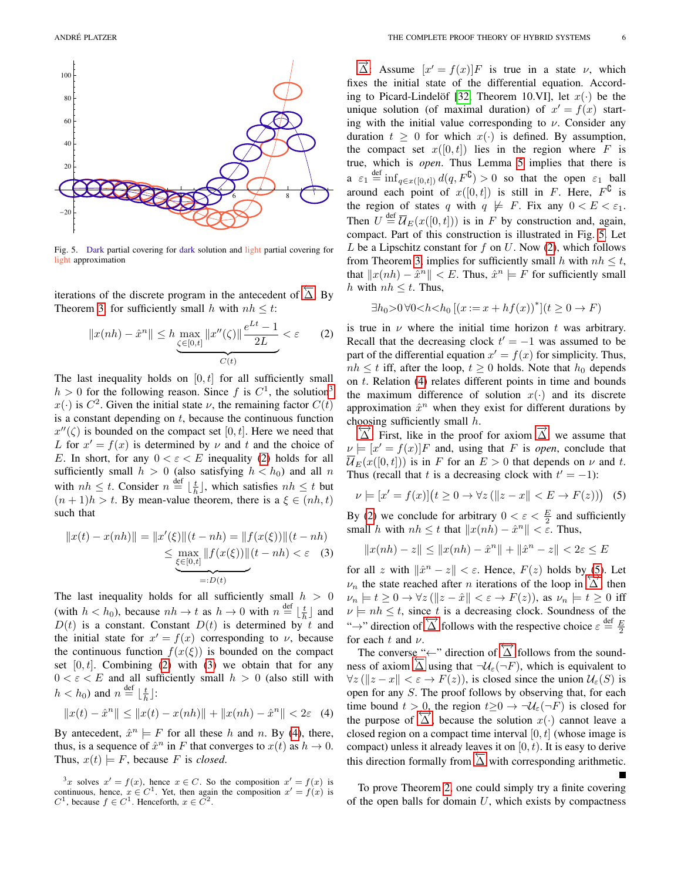

<span id="page-5-0"></span>Fig. 5. Dark partial covering for dark solution and light partial covering for light approximation

iterations of the discrete program in the antecedent of  $\overleftarrow{\Delta}$ . By Theorem [3,](#page-4-1) for sufficiently small h with  $nh \leq t$ :

<span id="page-5-2"></span>
$$
||x(nh) - \hat{x}^n|| \le h \underbrace{\max_{\zeta \in [0,t]} ||x''(\zeta)|| \frac{e^{Lt} - 1}{2L}}_{C(t)} < \varepsilon \tag{2}
$$

The last inequality holds on  $[0, t]$  for all sufficiently small  $h > 0$  for the following reason. Since f is  $C<sup>1</sup>$ , the solution<sup>[3](#page-5-1)</sup>  $x(\cdot)$  is  $C^2$ . Given the initial state  $\nu$ , the remaining factor  $C(t)$ is a constant depending on  $t$ , because the continuous function  $x''(\zeta)$  is bounded on the compact set [0, t]. Here we need that L for  $x' = f(x)$  is determined by  $\nu$  and t and the choice of E. In short, for any  $0 < \varepsilon < E$  inequality [\(2\)](#page-5-2) holds for all sufficiently small  $h > 0$  (also satisfying  $h < h_0$ ) and all n with  $nh \leq t$ . Consider  $n \stackrel{\text{def}}{=} \lfloor \frac{t}{h} \rfloor$ , which satisfies  $nh \leq t$  but  $(n + 1)h > t$ . By mean-value theorem, there is a  $\xi \in (nh, t)$ such that

$$
||x(t) - x(nh)|| = ||x'(\xi)||(t - nh) = ||f(x(\xi))||(t - nh)
$$
  
\n
$$
\leq \max_{\xi \in [0,t]} ||f(x(\xi))||(t - nh) < \varepsilon
$$
 (3)  
\n
$$
=: D(t)
$$

The last inequality holds for all sufficiently small  $h > 0$ (with  $h < h_0$ ), because  $nh \to t$  as  $h \to 0$  with  $n \stackrel{\text{def}}{=} \lfloor \frac{t}{h} \rfloor$  and  $D(t)$  is a constant. Constant  $D(t)$  is determined by t and the initial state for  $x' = f(x)$  corresponding to  $\nu$ , because the continuous function  $f(x(\xi))$  is bounded on the compact set  $[0, t]$ . Combining [\(2\)](#page-5-2) with [\(3\)](#page-5-3) we obtain that for any  $0 < \varepsilon < E$  and all sufficiently small  $h > 0$  (also still with  $h < h_0$ ) and  $n \stackrel{\text{def}}{=} \lfloor \frac{t}{h} \rfloor$ :

<span id="page-5-4"></span>
$$
||x(t) - \hat{x}^{n}|| \le ||x(t) - x(nh)|| + ||x(nh) - \hat{x}^{n}|| < 2\varepsilon \quad (4)
$$

By antecedent,  $\hat{x}^n \models F$  for all these h and n. By [\(4\)](#page-5-4), there, thus, is a sequence of  $\hat{x}^n$  in F that converges to  $x(t)$  as  $h \to 0$ . Thus,  $x(t) \models F$ , because F is *closed*.

 $\overrightarrow{\Delta}$ : Assume  $[x' = f(x)]F$  is true in a state  $\nu$ , which fixes the initial state of the differential equation. Accord-ing to Picard-Lindelöf [\[32,](#page-9-16) Theorem 10.VI], let  $x(\cdot)$  be the unique solution (of maximal duration) of  $x' = f(x)$  starting with the initial value corresponding to  $\nu$ . Consider any duration  $t \geq 0$  for which  $x(\cdot)$  is defined. By assumption, the compact set  $x([0, t])$  lies in the region where F is true, which is *open*. Thus Lemma [5](#page-4-2) implies that there is  $a \varepsilon_1 \stackrel{\text{def}}{=} \inf_{q \in x([0,t])} d(q, F^{\complement}) > 0$  so that the open  $\varepsilon_1$  ball around each point of  $x([0, t])$  is still in F. Here,  $F^{\complement}$  is the region of states q with  $q \not\models F$ . Fix any  $0 < E < \varepsilon_1$ . Then  $U \stackrel{\text{def}}{=} \overline{\mathcal{U}}_E(x([0,t]))$  is in F by construction and, again, compact. Part of this construction is illustrated in Fig. [5.](#page-5-0) Let  $L$  be a Lipschitz constant for  $f$  on  $U$ . Now [\(2\)](#page-5-2), which follows from Theorem [3,](#page-4-1) implies for sufficiently small h with  $nh \leq t$ , that  $||x(nh) - \hat{x}^n|| < E$ . Thus,  $\hat{x}^n \models F$  for sufficiently small h with  $nh \leq t$ . Thus,

$$
\exists h_0 > 0 \,\forall 0 < h < h_0 \left[ (x := x + h f(x))^\ast \right] (t \ge 0 \to F)
$$

is true in  $\nu$  where the initial time horizon t was arbitrary. Recall that the decreasing clock  $t' = -1$  was assumed to be part of the differential equation  $x' = f(x)$  for simplicity. Thus,  $nh \leq t$  iff, after the loop,  $t \geq 0$  holds. Note that  $h_0$  depends on t. Relation [\(4\)](#page-5-4) relates different points in time and bounds the maximum difference of solution  $x(\cdot)$  and its discrete approximation  $\hat{x}^n$  when they exist for different durations by

choosing sufficiently small h.<br>  $\overrightarrow{\Delta}$ : First, like in the proof for axiom  $\overrightarrow{\Delta}$ , we assume that  $\nu \models [x' = f(x)]F$  and, using that F is *open*, conclude that  $\overline{\mathcal{U}}_E(x([0,t]))$  is in F for an  $E > 0$  that depends on  $\nu$  and t. Thus (recall that t is a decreasing clock with  $t' = -1$ ):

<span id="page-5-5"></span>
$$
\nu \models [x' = f(x)](t \ge 0 \rightarrow \forall z (\Vert z - x \Vert < E \rightarrow F(z))) \tag{5}
$$

By [\(2\)](#page-5-2) we conclude for arbitrary  $0 < \varepsilon < \frac{E}{2}$  and sufficiently small h with  $nh \leq t$  that  $||x(nh) - \hat{x}^n|| < \varepsilon$ . Thus,

$$
||x(nh)-z||\leq ||x(nh)-\hat{x}^n||+||\hat{x}^n-z||<2\varepsilon\leq E
$$

<span id="page-5-3"></span>for all z with  $\|\hat{x}^n - z\| < \varepsilon$ . Hence,  $F(z)$  holds by [\(5\)](#page-5-5). Let  $\nu_n$  the state reached after *n* iterations of the loop in  $\overrightarrow{\Delta}$ , then  $\nu_n \models t \geq 0 \rightarrow \forall z (\Vert z - \hat{x} \Vert < \varepsilon \rightarrow F(z)),$  as  $\nu_n \models t \geq 0$  iff  $\nu \models nh \leq t$ , since t is a decreasing clock. Soundness of the  $\therefore$   $\forall$  increasing event solutions of  $\frac{d}{dx}$  follows with the respective choice  $\varepsilon \stackrel{\text{def}}{=} \frac{E}{2}$ for each  $t$  and  $\nu$ .

The converse "←" direction of  $\overleftrightarrow{\Delta}$  follows from the sound-The converse  $\leftarrow$  direction of  $\Delta$  follows from the sound-<br>ness of axiom  $\Delta$  using that  $\neg U_{\varepsilon}(\neg F)$ , which is equivalent to  $\forall z (\Vert z - x \Vert < \varepsilon \rightarrow F(z))$ , is closed since the union  $\mathcal{U}_{\varepsilon}(S)$  is open for any S. The proof follows by observing that, for each time bound  $t > 0$ , the region  $t \geq 0 \rightarrow \neg \mathcal{U}_{\varepsilon}(\neg F)$  is closed for the purpose of  $\overrightarrow{\Delta}$ , because the solution  $x(\cdot)$  cannot leave a closed region on a compact time interval  $[0, t]$  (whose image is compact) unless it already leaves it on  $[0, t)$ . It is easy to derive this direction formally from  $\overline{\Delta}$  with corresponding arithmetic.

To prove Theorem [2,](#page-3-5) one could simply try a finite covering of the open balls for domain  $U$ , which exists by compactness

<span id="page-5-1"></span><sup>&</sup>lt;sup>3</sup>x solves  $x' = f(x)$ , hence  $x \in C$ . So the composition  $x' = f(x)$  is continuous, hence,  $x \in C^1$ . Yet, then again the composition  $x' = f(x)$  is  $C^1$ , because  $f \in C^1$ . Henceforth,  $x \in C^2$ .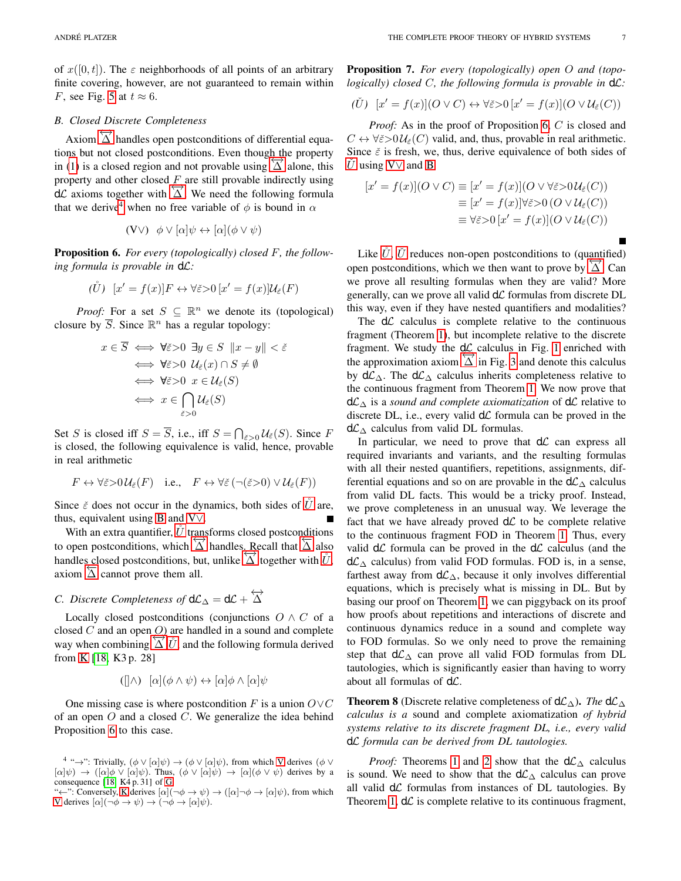of  $x([0, t])$ . The  $\varepsilon$  neighborhoods of all points of an arbitrary finite covering, however, are not guaranteed to remain within F, see Fig. [5](#page-5-0) at  $t \approx 6$ .

# <span id="page-6-0"></span>*B. Closed Discrete Completeness*

Axiom  $\overleftrightarrow{\Delta}$  handles open postconditions of differential equations but not closed postconditions. Even though the property in [\(1\)](#page-4-3) is a closed region and not provable using  $\overrightarrow{\Delta}$  alone, this property and other closed  $F$  are still provable indirectly using property and other erosed  $\frac{1}{2}$  are sun provable matricely using  $d\mathcal{L}$  axioms together with  $\overrightarrow{\Delta}$ . We need the following formula that we derive<sup>[4](#page-6-2)</sup> when no free variable of  $\phi$  is bound in  $\alpha$ 

<span id="page-6-4"></span>
$$
(\mathbf{V}\vee)\ \ \phi\vee[\alpha]\psi\leftrightarrow[\alpha](\phi\vee\psi)
$$

<span id="page-6-5"></span>Proposition 6. *For every (topologically) closed* F*, the following formula is provable in* dL*:*

<span id="page-6-3"></span>
$$
(\mathring{U}) \ [x' = f(x)]F \leftrightarrow \forall \check{\varepsilon} > 0 \ [x' = f(x)]\mathcal{U}_{\check{\varepsilon}}(F)
$$

*Proof:* For a set  $S \subseteq \mathbb{R}^n$  we denote its (topological) closure by  $\overline{S}$ . Since  $\mathbb{R}^n$  has a regular topology:

$$
x \in \overline{S} \iff \forall \check{\varepsilon} > 0 \ \exists y \in S \ \|x - y\| < \check{\varepsilon}
$$
\n
$$
\iff \forall \check{\varepsilon} > 0 \ \mathcal{U}_{\check{\varepsilon}}(x) \cap S \neq \emptyset
$$
\n
$$
\iff \forall \check{\varepsilon} > 0 \ \ x \in \mathcal{U}_{\check{\varepsilon}}(S)
$$
\n
$$
\iff x \in \bigcap_{\check{\varepsilon} > 0} \mathcal{U}_{\check{\varepsilon}}(S)
$$

Set S is closed iff  $S = \overline{S}$ , i.e., iff  $S = \bigcap_{\tilde{\varepsilon} > 0} U_{\tilde{\varepsilon}}(S)$ . Since F is closed, the following equivalence is valid, hence, provable in real arithmetic

$$
F \leftrightarrow \forall \check{\varepsilon} > 0 \mathcal{U}_{\check{\varepsilon}}(F)
$$
 i.e.,  $F \leftrightarrow \forall \check{\varepsilon} (\neg(\check{\varepsilon} > 0) \vee \mathcal{U}_{\check{\varepsilon}}(F))$ 

Since  $\zeta$  does not occur in the dynamics, both sides of  $\dot{U}$  are, thus, equivalent using [B](#page-2-7) and [V](#page-6-4)∨.

With an extra quantifier,  $\tilde{U}$  transforms closed postconditions which an extra quantifier,  $\circ$  transforms elosed posteonations to open postconditions, which  $\overrightarrow{\Delta}$  handles. Recall that  $\overrightarrow{\Delta}$  also handles closed postconditions, when  $\triangle$  handles, execut that  $\triangle$  associations, but, unlike  $\triangle$  together with  $\hat{U}$ ,  $\overline{\Delta}$  cannot prove them all.

# <span id="page-6-1"></span>*C. Discrete Completeness of*  $d\mathcal{L}_\Delta = d\mathcal{L} + \overleftrightarrow{\Delta}$

Locally closed postconditions (conjunctions  $O \wedge C$  of a closed  $C$  and an open  $O$ ) are handled in a sound and complete way when combining  $\vec{\Delta}$ ,  $\vec{U}$ , and the following formula derived from [K](#page-2-4) [\[18,](#page-9-17) K3 p. 28]

<span id="page-6-7"></span>
$$
([\land] \land [\alpha](\phi \land \psi) \leftrightarrow [\alpha]\phi \land [\alpha]\psi
$$

One missing case is where postcondition F is a union  $O\vee C$ of an open  $O$  and a closed  $C$ . We generalize the idea behind Proposition [6](#page-6-5) to this case.

Proposition 7. *For every (topologically) open* O *and (topologically) closed* C*, the following formula is provable in* dL*:*

<span id="page-6-6"></span>
$$
(\check{U}) \ [x' = f(x)](O \lor C) \leftrightarrow \forall \check{\varepsilon} > 0 \ [x' = f(x)](O \lor \mathcal{U}_{\check{\varepsilon}}(C))
$$

*Proof:* As in the proof of Proposition [6,](#page-6-5) C is closed and  $C \leftrightarrow \forall \tilde{\varepsilon} > 0 \mathcal{U}_{\tilde{\varepsilon}}(C)$  valid, and, thus, provable in real arithmetic. Since  $\check{\varepsilon}$  is fresh, we, thus, derive equivalence of both sides of [U](#page-6-6) using [V](#page-6-4) $\vee$  and [B](#page-2-7)

$$
[x' = f(x)](O \vee C) \equiv [x' = f(x)](O \vee \forall \check{\varepsilon} > 0 \mathcal{U}_{\check{\varepsilon}}(C))
$$
  

$$
\equiv [x' = f(x)]\forall \check{\varepsilon} > 0 (O \vee \mathcal{U}_{\check{\varepsilon}}(C))
$$
  

$$
\equiv \forall \check{\varepsilon} > 0 [x' = f(x)](O \vee \mathcal{U}_{\check{\varepsilon}}(C))
$$

Like  $\check{U}$  $\check{U}$  $\check{U}$ ,  $\check{U}$  reduces non-open postconditions to (quantified)  $\Box$ KCC,  $\Diamond$  reduces non-open postconditions to (quadrance) open postconditions, which we then want to prove by  $\Box$ . Can we prove all resulting formulas when they are valid? More generally, can we prove all valid  $d\mathcal{L}$  formulas from discrete DL this way, even if they have nested quantifiers and modalities?

The  $d\mathcal{L}$  calculus is complete relative to the continuous fragment (Theorem [1\)](#page-2-15), but incomplete relative to the discrete fragment. We study the  $d\mathcal{L}$  calculus in Fig. [1](#page-2-0) enriched with the approximation axiom  $\overrightarrow{\Delta}$  in Fig. [3](#page-3-4) and denote this calculus by  $d\mathcal{L}_\Delta$ . The  $d\mathcal{L}_\Delta$  calculus inherits completeness relative to the continuous fragment from Theorem [1.](#page-2-15) We now prove that dL<sup>∆</sup> is a *sound and complete axiomatization* of dL relative to discrete DL, i.e., every valid  $d\mathcal{L}$  formula can be proved in the  $d\mathcal{L}_\Delta$  calculus from valid DL formulas.

In particular, we need to prove that  $d\mathcal{L}$  can express all required invariants and variants, and the resulting formulas with all their nested quantifiers, repetitions, assignments, differential equations and so on are provable in the  $d\mathcal{L}_\Delta$  calculus from valid DL facts. This would be a tricky proof. Instead, we prove completeness in an unusual way. We leverage the fact that we have already proved  $d\mathcal{L}$  to be complete relative to the continuous fragment FOD in Theorem [1.](#page-2-15) Thus, every valid  $d\mathcal{L}$  formula can be proved in the  $d\mathcal{L}$  calculus (and the  $d\mathcal{L}_\Delta$  calculus) from valid FOD formulas. FOD is, in a sense, farthest away from  $d\mathcal{L}_\Delta$ , because it only involves differential equations, which is precisely what is missing in DL. But by basing our proof on Theorem [1,](#page-2-15) we can piggyback on its proof how proofs about repetitions and interactions of discrete and continuous dynamics reduce in a sound and complete way to FOD formulas. So we only need to prove the remaining step that  $d\mathcal{L}_\Delta$  can prove all valid FOD formulas from DL tautologies, which is significantly easier than having to worry about all formulas of  $d\mathcal{L}$ .

<span id="page-6-8"></span>**Theorem 8** (Discrete relative completeness of  $d\mathcal{L}_\Delta$ ). *The*  $d\mathcal{L}_\Delta$ *calculus is a* sound and complete axiomatization *of hybrid systems relative to its discrete fragment DL, i.e., every valid* dL *formula can be derived from DL tautologies.*

*Proof:* Theorems [1](#page-2-15) and [2](#page-3-5) show that the  $d\mathcal{L}_\Delta$  calculus is sound. We need to show that the  $d\mathcal{L}_\Delta$  calculus can prove all valid  $d\mathcal{L}$  formulas from instances of DL tautologies. By Theorem [1,](#page-2-15)  $d\mathcal{L}$  is complete relative to its continuous fragment,

<span id="page-6-2"></span><sup>&</sup>lt;sup>4</sup> " $\rightarrow$ ": Trivially,  $(\phi \vee [\alpha]\psi) \rightarrow (\phi \vee [\alpha]\psi)$ , from which [V](#page-2-9) derives  $(\phi \vee \psi)$  $[\alpha]\psi$   $\rightarrow$   $([\alpha]\phi \vee [\alpha]\psi)$ . Thus,  $(\phi \vee [\alpha]\psi) \rightarrow [\alpha](\phi \vee \psi)$  derives by a consequence [\[18,](#page-9-17) K4 p. 31] of [G.](#page-2-10)

<sup>&</sup>quot;←": Conversely, [K](#page-2-4) derives  $[\alpha](\neg \phi \rightarrow \psi) \rightarrow ([\alpha] \neg \phi \rightarrow [\alpha]\psi)$ , from which [V](#page-2-9) derives  $[\alpha](\neg \phi \rightarrow \psi) \rightarrow (\neg \phi \rightarrow [\alpha]\psi)$ .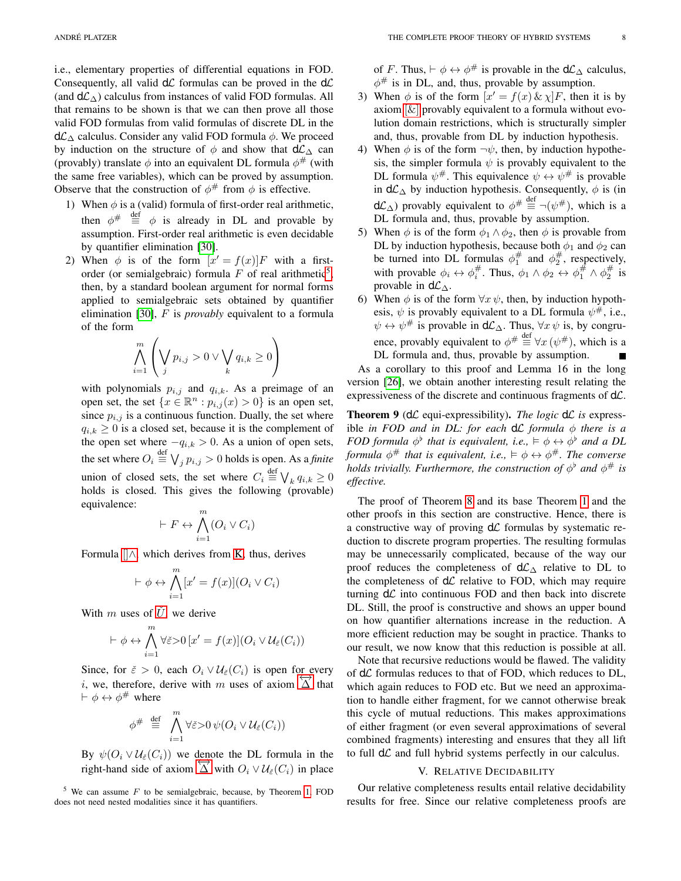i.e., elementary properties of differential equations in FOD. Consequently, all valid  $d\mathcal{L}$  formulas can be proved in the  $d\mathcal{L}$ (and  $d\mathcal{L}_{\wedge}$ ) calculus from instances of valid FOD formulas. All that remains to be shown is that we can then prove all those valid FOD formulas from valid formulas of discrete DL in the  $d\mathcal{L}_\Delta$  calculus. Consider any valid FOD formula  $\phi$ . We proceed by induction on the structure of  $\phi$  and show that  $d\mathcal{L}_\Delta$  can (provably) translate  $\phi$  into an equivalent DL formula  $\phi^{\#}$  (with the same free variables), which can be proved by assumption. Observe that the construction of  $\phi^{\#}$  from  $\phi$  is effective.

- 1) When  $\phi$  is a (valid) formula of first-order real arithmetic, then  $\phi^{\#} \equiv^{\text{def}} \phi$  is already in DL and provable by assumption. First-order real arithmetic is even decidable by quantifier elimination [\[30\]](#page-9-14).
- 2) When  $\phi$  is of the form  $[x' = f(x)]F$  with a firstorder (or semialgebraic) formula  $F$  of real arithmetic<sup>[5](#page-7-0)</sup>, then, by a standard boolean argument for normal forms applied to semialgebraic sets obtained by quantifier elimination [\[30\]](#page-9-14), F is *provably* equivalent to a formula of the form

$$
\bigwedge_{i=1}^m \left( \bigvee_j p_{i,j} > 0 \vee \bigvee_k q_{i,k} \ge 0 \right)
$$

with polynomials  $p_{i,j}$  and  $q_{i,k}$ . As a preimage of an open set, the set  $\{x \in \mathbb{R}^n : p_{i,j}(x) > 0\}$  is an open set, since  $p_{i,j}$  is a continuous function. Dually, the set where  $q_{i,k} \geq 0$  is a closed set, because it is the complement of the open set where  $-q_{i,k} > 0$ . As a union of open sets, the set where  $O_i \stackrel{\text{def}}{=} \bigvee_j p_{i,j} > 0$  holds is open. As a *finite* union of closed sets, the set where  $C_i \stackrel{\text{def}}{=} \bigvee_k q_{i,k} \ge 0$ holds is closed. This gives the following (provable) equivalence:

$$
\vdash F \leftrightarrow \bigwedge_{i=1}^{m} (O_i \vee C_i)
$$

Formula  $\parallel$  [∧](#page-6-7), which derives from [K,](#page-2-4) thus, derives

$$
\vdash \phi \leftrightarrow \bigwedge_{i=1}^{m} [x' = f(x)](O_i \vee C_i)
$$

With m uses of  $\check{U}$  $\check{U}$  $\check{U}$ , we derive

$$
\vdash \phi \leftrightarrow \bigwedge_{i=1}^{m} \forall \check{\varepsilon} > 0 \, [x' = f(x)] (O_i \vee \mathcal{U}_{\check{\varepsilon}}(C_i))
$$

Since, for  $\check{\varepsilon} > 0$ , each  $O_i \vee \mathcal{U}_{\check{\varepsilon}}(C_i)$  is open for every i, we, therefore, derive with m uses of axiom  $\overrightarrow{\Delta}$  that  $\vdash \phi \leftrightarrow \phi^{\#}$  where

$$
\phi^{\#} \stackrel{\text{def}}{=} \bigwedge_{i=1}^{m} \forall \check{\varepsilon} > 0 \, \psi(O_i \vee \mathcal{U}_{\check{\varepsilon}}(C_i))
$$

By  $\psi(O_i \vee \mathcal{U}_{\varepsilon}(C_i))$  we denote the DL formula in the  $\mathcal{L}_{\mathcal{F}}(C_i \vee \mathcal{U}_{\varepsilon}(C_i))$  we denote the *DE* formula in the right-hand side of axiom  $\overleftrightarrow{\Delta}$  with  $O_i \vee \mathcal{U}_{\varepsilon}(C_i)$  in place

<span id="page-7-0"></span> $5$  We can assume F to be semialgebraic, because, by Theorem [1,](#page-2-15) FOD does not need nested modalities since it has quantifiers.

of F. Thus,  $\vdash \phi \leftrightarrow \phi^{\#}$  is provable in the  $d\mathcal{L}_{\Delta}$  calculus,  $\phi^{\#}$  is in DL, and, thus, provable by assumption.

- 3) When  $\phi$  is of the form  $[x' = f(x) \& \chi]F$ , then it is by axiom  $[\&]$  provably equivalent to a formula without evolution domain restrictions, which is structurally simpler and, thus, provable from DL by induction hypothesis.
- 4) When  $\phi$  is of the form  $\neg \psi$ , then, by induction hypothesis, the simpler formula  $\psi$  is provably equivalent to the DL formula  $\psi^{\#}$ . This equivalence  $\psi \leftrightarrow \psi^{\#}$  is provable in  $d\mathcal{L}_\Delta$  by induction hypothesis. Consequently,  $\phi$  is (in  $d\mathcal{L}_\Delta$ ) provably equivalent to  $\phi^{\#} \stackrel{\text{def}}{=} \neg(\psi^{\#})$ , which is a DL formula and, thus, provable by assumption.
- 5) When  $\phi$  is of the form  $\phi_1 \wedge \phi_2$ , then  $\phi$  is provable from DL by induction hypothesis, because both  $\phi_1$  and  $\phi_2$  can be turned into DL formulas  $\phi_1^{\#}$  and  $\phi_2^{\#}$ , respectively, with provable  $\phi_i \leftrightarrow \phi_i^{\#}$ . Thus,  $\phi_1 \wedge \phi_2 \leftrightarrow \phi_1^{\#} \wedge \phi_2^{\#}$  is provable in  $d\mathcal{L}_\Delta$ .
- 6) When  $\phi$  is of the form  $\forall x \psi$ , then, by induction hypothesis,  $\psi$  is provably equivalent to a DL formula  $\psi^{\#}$ , i.e.,  $\psi \leftrightarrow \psi^{\#}$  is provable in  $d\mathcal{L}_{\Delta}$ . Thus,  $\forall x \psi$  is, by congruence, provably equivalent to  $\phi^{\#} \equiv \forall x (\psi^{\#})$ , which is a DL formula and, thus, provable by assumption.

As a corollary to this proof and Lemma 16 in the long version [\[26\]](#page-9-18), we obtain another interesting result relating the expressiveness of the discrete and continuous fragments of  $d\mathcal{L}$ .

**Theorem 9** ( $d\mathcal{L}$  equi-expressibility). *The logic*  $d\mathcal{L}$  *is* expressible *in FOD and in DL: for each*  $d\mathcal{L}$  *formula*  $\phi$  *there is a FOD formula*  $\phi^{\flat}$  *that is equivalent, i.e.,*  $\models \phi \leftrightarrow \phi^{\flat}$  *and a DL formula*  $\phi^{\#}$  *that is equivalent, i.e.,*  $\models \phi \leftrightarrow \phi^{\#}$ *. The converse holds trivially. Furthermore, the construction of*  $\phi^{\flat}$  *and*  $\phi^{\#}$  *is effective.*

The proof of Theorem [8](#page-6-8) and its base Theorem [1](#page-2-15) and the other proofs in this section are constructive. Hence, there is a constructive way of proving  $d\mathcal{L}$  formulas by systematic reduction to discrete program properties. The resulting formulas may be unnecessarily complicated, because of the way our proof reduces the completeness of  $d\mathcal{L}_\Delta$  relative to DL to the completeness of  $d\mathcal{L}$  relative to FOD, which may require turning  $d\mathcal{L}$  into continuous FOD and then back into discrete DL. Still, the proof is constructive and shows an upper bound on how quantifier alternations increase in the reduction. A more efficient reduction may be sought in practice. Thanks to our result, we now know that this reduction is possible at all.

Note that recursive reductions would be flawed. The validity of  $d\mathcal{L}$  formulas reduces to that of FOD, which reduces to DL, which again reduces to FOD etc. But we need an approximation to handle either fragment, for we cannot otherwise break this cycle of mutual reductions. This makes approximations of either fragment (or even several approximations of several combined fragments) interesting and ensures that they all lift to full  $d\mathcal{L}$  and full hybrid systems perfectly in our calculus.

#### V. RELATIVE DECIDABILITY

Our relative completeness results entail relative decidability results for free. Since our relative completeness proofs are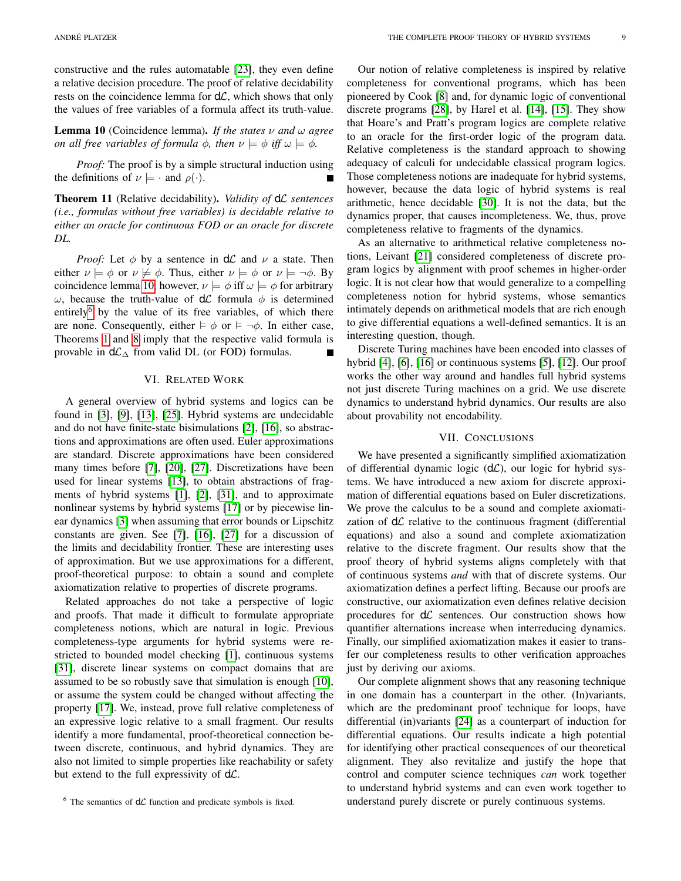constructive and the rules automatable [\[23\]](#page-9-12), they even define a relative decision procedure. The proof of relative decidability rests on the coincidence lemma for  $d\mathcal{L}$ , which shows that only the values of free variables of a formula affect its truth-value.

<span id="page-8-0"></span>**Lemma 10** (Coincidence lemma). *If the states*  $\nu$  *and*  $\omega$  *agree on all free variables of formula*  $\phi$ *, then*  $\nu \models \phi$  *iff*  $\omega \models \phi$ *.* 

*Proof:* The proof is by a simple structural induction using the definitions of  $\nu \models \cdot$  and  $\rho(\cdot)$ .

Theorem 11 (Relative decidability). *Validity of* dL *sentences (i.e., formulas without free variables) is decidable relative to either an oracle for continuous FOD or an oracle for discrete DL.*

*Proof:* Let  $\phi$  by a sentence in  $d\mathcal{L}$  and  $\nu$  a state. Then either  $\nu \models \phi$  or  $\nu \not\models \phi$ . Thus, either  $\nu \models \phi$  or  $\nu \models \neg \phi$ . By coincidence lemma [10,](#page-8-0) however,  $\nu \models \phi$  iff  $\omega \models \phi$  for arbitrary ω, because the truth-value of  $dL$  formula φ is determined entirely<sup>[6](#page-8-1)</sup> by the value of its free variables, of which there are none. Consequently, either  $\models \phi$  or  $\models \neg \phi$ . In either case, Theorems [1](#page-2-15) and [8](#page-6-8) imply that the respective valid formula is provable in  $d\mathcal{L}_\Delta$  from valid DL (or FOD) formulas.

#### VI. RELATED WORK

A general overview of hybrid systems and logics can be found in [\[3\]](#page-9-3), [\[9\]](#page-9-21), [\[13\]](#page-9-5), [\[25\]](#page-9-13). Hybrid systems are undecidable and do not have finite-state bisimulations [\[2\]](#page-9-22), [\[16\]](#page-9-2), so abstractions and approximations are often used. Euler approximations are standard. Discrete approximations have been considered many times before [\[7\]](#page-9-4), [\[20\]](#page-9-23), [\[27\]](#page-9-6). Discretizations have been used for linear systems [\[13\]](#page-9-5), to obtain abstractions of fragments of hybrid systems [\[1\]](#page-9-24), [\[2\]](#page-9-22), [\[31\]](#page-9-25), and to approximate nonlinear systems by hybrid systems [\[17\]](#page-9-26) or by piecewise linear dynamics [\[3\]](#page-9-3) when assuming that error bounds or Lipschitz constants are given. See [\[7\]](#page-9-4), [\[16\]](#page-9-2), [\[27\]](#page-9-6) for a discussion of the limits and decidability frontier. These are interesting uses of approximation. But we use approximations for a different, proof-theoretical purpose: to obtain a sound and complete axiomatization relative to properties of discrete programs.

Related approaches do not take a perspective of logic and proofs. That made it difficult to formulate appropriate completeness notions, which are natural in logic. Previous completeness-type arguments for hybrid systems were restricted to bounded model checking [\[1\]](#page-9-24), continuous systems [\[31\]](#page-9-25), discrete linear systems on compact domains that are assumed to be so robustly save that simulation is enough [\[10\]](#page-9-27), or assume the system could be changed without affecting the property [\[17\]](#page-9-26). We, instead, prove full relative completeness of an expressive logic relative to a small fragment. Our results identify a more fundamental, proof-theoretical connection between discrete, continuous, and hybrid dynamics. They are also not limited to simple properties like reachability or safety but extend to the full expressivity of  $d\mathcal{L}$ .

Our notion of relative completeness is inspired by relative completeness for conventional programs, which has been pioneered by Cook [\[8\]](#page-9-7) and, for dynamic logic of conventional discrete programs [\[28\]](#page-9-11), by Harel et al. [\[14\]](#page-9-8), [\[15\]](#page-9-9). They show that Hoare's and Pratt's program logics are complete relative to an oracle for the first-order logic of the program data. Relative completeness is the standard approach to showing adequacy of calculi for undecidable classical program logics. Those completeness notions are inadequate for hybrid systems, however, because the data logic of hybrid systems is real arithmetic, hence decidable [\[30\]](#page-9-14). It is not the data, but the dynamics proper, that causes incompleteness. We, thus, prove completeness relative to fragments of the dynamics.

As an alternative to arithmetical relative completeness notions, Leivant [\[21\]](#page-9-10) considered completeness of discrete program logics by alignment with proof schemes in higher-order logic. It is not clear how that would generalize to a compelling completeness notion for hybrid systems, whose semantics intimately depends on arithmetical models that are rich enough to give differential equations a well-defined semantics. It is an interesting question, though.

Discrete Turing machines have been encoded into classes of hybrid [\[4\]](#page-9-0), [\[6\]](#page-9-1), [\[16\]](#page-9-2) or continuous systems [\[5\]](#page-9-28), [\[12\]](#page-9-29). Our proof works the other way around and handles full hybrid systems not just discrete Turing machines on a grid. We use discrete dynamics to understand hybrid dynamics. Our results are also about provability not encodability.

## VII. CONCLUSIONS

We have presented a significantly simplified axiomatization of differential dynamic logic  $(d\mathcal{L})$ , our logic for hybrid systems. We have introduced a new axiom for discrete approximation of differential equations based on Euler discretizations. We prove the calculus to be a sound and complete axiomatization of  $d\mathcal{L}$  relative to the continuous fragment (differential equations) and also a sound and complete axiomatization relative to the discrete fragment. Our results show that the proof theory of hybrid systems aligns completely with that of continuous systems *and* with that of discrete systems. Our axiomatization defines a perfect lifting. Because our proofs are constructive, our axiomatization even defines relative decision procedures for  $d\mathcal{L}$  sentences. Our construction shows how quantifier alternations increase when interreducing dynamics. Finally, our simplified axiomatization makes it easier to transfer our completeness results to other verification approaches just by deriving our axioms.

Our complete alignment shows that any reasoning technique in one domain has a counterpart in the other. (In)variants, which are the predominant proof technique for loops, have differential (in)variants [\[24\]](#page-9-19) as a counterpart of induction for differential equations. Our results indicate a high potential for identifying other practical consequences of our theoretical alignment. They also revitalize and justify the hope that control and computer science techniques *can* work together to understand hybrid systems and can even work together to understand purely discrete or purely continuous systems.

<span id="page-8-1"></span> $6$  The semantics of  $d\mathcal{L}$  function and predicate symbols is fixed.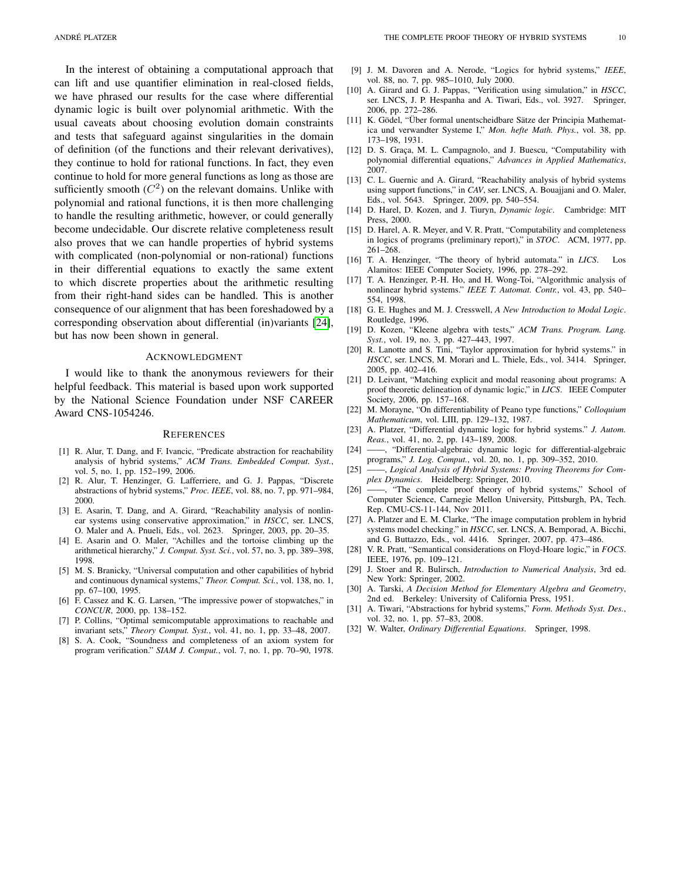In the interest of obtaining a computational approach that can lift and use quantifier elimination in real-closed fields, we have phrased our results for the case where differential dynamic logic is built over polynomial arithmetic. With the usual caveats about choosing evolution domain constraints and tests that safeguard against singularities in the domain of definition (of the functions and their relevant derivatives), they continue to hold for rational functions. In fact, they even continue to hold for more general functions as long as those are sufficiently smooth  $(C^2)$  on the relevant domains. Unlike with polynomial and rational functions, it is then more challenging to handle the resulting arithmetic, however, or could generally become undecidable. Our discrete relative completeness result also proves that we can handle properties of hybrid systems with complicated (non-polynomial or non-rational) functions in their differential equations to exactly the same extent to which discrete properties about the arithmetic resulting from their right-hand sides can be handled. This is another consequence of our alignment that has been foreshadowed by a corresponding observation about differential (in)variants [\[24\]](#page-9-19), but has now been shown in general.

#### ACKNOWLEDGMENT

I would like to thank the anonymous reviewers for their helpful feedback. This material is based upon work supported by the National Science Foundation under NSF CAREER Award CNS-1054246.

#### **REFERENCES**

- <span id="page-9-24"></span>[1] R. Alur, T. Dang, and F. Ivancic, "Predicate abstraction for reachability analysis of hybrid systems," *ACM Trans. Embedded Comput. Syst.*, vol. 5, no. 1, pp. 152–199, 2006.
- <span id="page-9-22"></span>[2] R. Alur, T. Henzinger, G. Lafferriere, and G. J. Pappas, "Discrete abstractions of hybrid systems," *Proc. IEEE*, vol. 88, no. 7, pp. 971–984, 2000.
- <span id="page-9-3"></span>[3] E. Asarin, T. Dang, and A. Girard, "Reachability analysis of nonlinear systems using conservative approximation," in *HSCC*, ser. LNCS, O. Maler and A. Pnueli, Eds., vol. 2623. Springer, 2003, pp. 20–35.
- <span id="page-9-0"></span>[4] E. Asarin and O. Maler, "Achilles and the tortoise climbing up the arithmetical hierarchy," *J. Comput. Syst. Sci.*, vol. 57, no. 3, pp. 389–398, 1998.
- <span id="page-9-28"></span>[5] M. S. Branicky, "Universal computation and other capabilities of hybrid and continuous dynamical systems," *Theor. Comput. Sci.*, vol. 138, no. 1, pp. 67–100, 1995.
- <span id="page-9-1"></span>[6] F. Cassez and K. G. Larsen, "The impressive power of stopwatches," in *CONCUR*, 2000, pp. 138–152.
- <span id="page-9-4"></span>[7] P. Collins, "Optimal semicomputable approximations to reachable and invariant sets," *Theory Comput. Syst.*, vol. 41, no. 1, pp. 33–48, 2007.
- <span id="page-9-7"></span>[8] S. A. Cook, "Soundness and completeness of an axiom system for program verification." *SIAM J. Comput.*, vol. 7, no. 1, pp. 70–90, 1978.
- <span id="page-9-27"></span><span id="page-9-21"></span>[10] A. Girard and G. J. Pappas, "Verification using simulation," in *HSCC*, ser. LNCS, J. P. Hespanha and A. Tiwari, Eds., vol. 3927. Springer, 2006, pp. 272–286.
- <span id="page-9-30"></span>[11] K. Gödel, "Über formal unentscheidbare Sätze der Principia Mathematica und verwandter Systeme I," *Mon. hefte Math. Phys.*, vol. 38, pp. 173–198, 1931.
- <span id="page-9-29"></span>[12] D. S. Graça, M. L. Campagnolo, and J. Buescu, "Computability with polynomial differential equations," *Advances in Applied Mathematics*, 2007.
- <span id="page-9-5"></span>[13] C. L. Guernic and A. Girard, "Reachability analysis of hybrid systems using support functions," in *CAV*, ser. LNCS, A. Bouajjani and O. Maler, Eds., vol. 5643. Springer, 2009, pp. 540–554.
- <span id="page-9-8"></span>[14] D. Harel, D. Kozen, and J. Tiuryn, *Dynamic logic*. Cambridge: MIT Press, 2000.
- <span id="page-9-9"></span>[15] D. Harel, A. R. Meyer, and V. R. Pratt, "Computability and completeness in logics of programs (preliminary report)," in *STOC*. ACM, 1977, pp. 261–268.
- <span id="page-9-2"></span>[16] T. A. Henzinger, "The theory of hybrid automata." in *LICS*. Los Alamitos: IEEE Computer Society, 1996, pp. 278–292.
- <span id="page-9-26"></span>[17] T. A. Henzinger, P.-H. Ho, and H. Wong-Toi, "Algorithmic analysis of nonlinear hybrid systems." *IEEE T. Automat. Contr.*, vol. 43, pp. 540– 554, 1998.
- <span id="page-9-17"></span>[18] G. E. Hughes and M. J. Cresswell, *A New Introduction to Modal Logic*. Routledge, 1996.
- <span id="page-9-15"></span>[19] D. Kozen, "Kleene algebra with tests," *ACM Trans. Program. Lang. Syst.*, vol. 19, no. 3, pp. 427–443, 1997.
- <span id="page-9-23"></span>[20] R. Lanotte and S. Tini, "Taylor approximation for hybrid systems." in *HSCC*, ser. LNCS, M. Morari and L. Thiele, Eds., vol. 3414. Springer, 2005, pp. 402–416.
- <span id="page-9-10"></span>[21] D. Leivant, "Matching explicit and modal reasoning about programs: A proof theoretic delineation of dynamic logic," in *LICS*. IEEE Computer Society, 2006, pp. 157–168.
- <span id="page-9-31"></span>[22] M. Morayne, "On differentiability of Peano type functions," *Colloquium Mathematicum*, vol. LIII, pp. 129–132, 1987.
- <span id="page-9-12"></span>[23] A. Platzer, "Differential dynamic logic for hybrid systems." *J. Autom. Reas.*, vol. 41, no. 2, pp. 143–189, 2008.
- <span id="page-9-19"></span>[24] ——, "Differential-algebraic dynamic logic for differential-algebraic programs," *J. Log. Comput.*, vol. 20, no. 1, pp. 309–352, 2010.
- <span id="page-9-13"></span>[25] ——, *Logical Analysis of Hybrid Systems: Proving Theorems for Complex Dynamics*. Heidelberg: Springer, 2010.
- <span id="page-9-18"></span>[26] ——, "The complete proof theory of hybrid systems," School of Computer Science, Carnegie Mellon University, Pittsburgh, PA, Tech. Rep. CMU-CS-11-144, Nov 2011.
- <span id="page-9-6"></span>[27] A. Platzer and E. M. Clarke, "The image computation problem in hybrid systems model checking." in *HSCC*, ser. LNCS, A. Bemporad, A. Bicchi, and G. Buttazzo, Eds., vol. 4416. Springer, 2007, pp. 473–486.
- <span id="page-9-11"></span>[28] V. R. Pratt, "Semantical considerations on Floyd-Hoare logic," in *FOCS*. IEEE, 1976, pp. 109–121.
- <span id="page-9-20"></span>[29] J. Stoer and R. Bulirsch, *Introduction to Numerical Analysis*, 3rd ed. New York: Springer, 2002.
- <span id="page-9-14"></span>[30] A. Tarski, *A Decision Method for Elementary Algebra and Geometry*, 2nd ed. Berkeley: University of California Press, 1951.
- <span id="page-9-25"></span>[31] A. Tiwari, "Abstractions for hybrid systems," *Form. Methods Syst. Des.*, vol. 32, no. 1, pp. 57–83, 2008.
- <span id="page-9-16"></span>[32] W. Walter, *Ordinary Differential Equations*. Springer, 1998.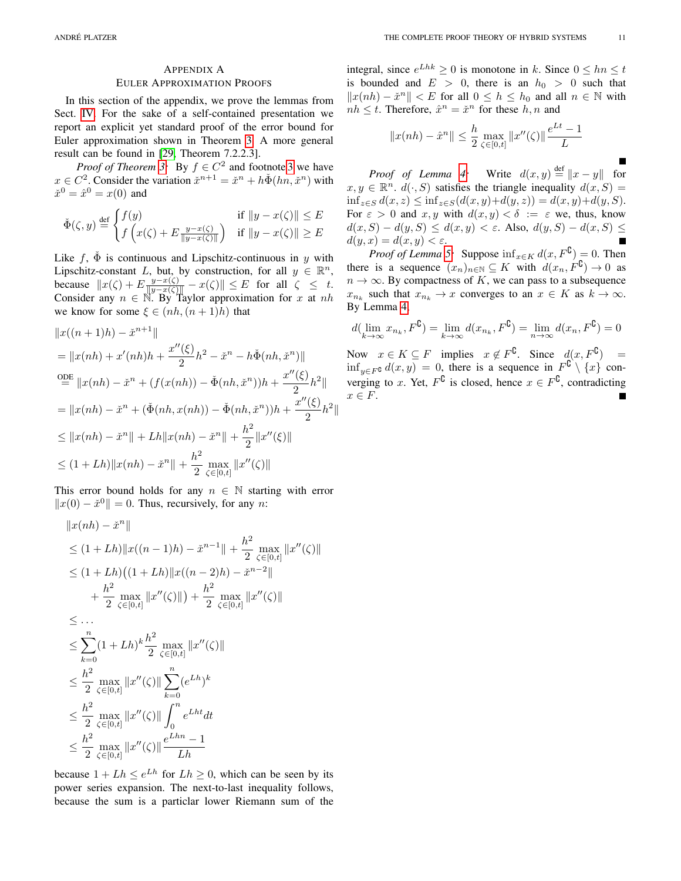# APPENDIX A

# EULER APPROXIMATION PROOFS

In this section of the appendix, we prove the lemmas from Sect. [IV.](#page-3-7) For the sake of a self-contained presentation we report an explicit yet standard proof of the error bound for Euler approximation shown in Theorem [3.](#page-4-1) A more general result can be found in [\[29,](#page-9-20) Theorem 7.2.2.3].

*Proof of Theorem [3:](#page-4-1)* By  $f \in C^2$  and footnote [3](#page-5-1) we have  $x \in C^2$ . Consider the variation  $\check{x}^{n+1} = \check{x}^n + h\check{\Phi}(hn, \check{x}^n)$  with  $\check{x}^0 = \hat{x}^0 = x(0)$  and

$$
\check{\Phi}(\zeta, y) \stackrel{\text{def}}{=} \begin{cases} f(y) & \text{if } ||y - x(\zeta)|| \le E \\ f\left(x(\zeta) + E\frac{y - x(\zeta)}{||y - x(\zeta)||}\right) & \text{if } ||y - x(\zeta)|| \ge E \end{cases}
$$

Like f,  $\Phi$  is continuous and Lipschitz-continuous in y with Lipschitz-constant L, but, by construction, for all  $y \in \mathbb{R}^n$ , because  $||x(\zeta) + E \frac{y - x(\zeta)}{||y - x(\zeta)||} - x(\zeta)|| \le E$  for all  $\zeta \le t$ . Consider any  $n \in \mathbb{N}$ . By Taylor approximation for x at nh we know for some  $\xi \in (nh, (n+1)h)$  that

$$
||x((n+1)h) - \check{x}^{n+1}||
$$
  
\n
$$
= ||x(nh) + x'(nh)h + \frac{x''(\xi)}{2}h^2 - \check{x}^n - h\check{\Phi}(nh, \check{x}^n)||
$$
  
\n
$$
\stackrel{\text{ODE}}{=} ||x(nh) - \check{x}^n + (f(x(nh)) - \check{\Phi}(nh, \check{x}^n))h + \frac{x''(\xi)}{2}h^2||
$$
  
\n
$$
= ||x(nh) - \check{x}^n + (\check{\Phi}(nh, x(nh)) - \check{\Phi}(nh, \check{x}^n))h + \frac{x''(\xi)}{2}h^2||
$$
  
\n
$$
\leq ||x(nh) - \check{x}^n|| + Lh||x(nh) - \check{x}^n|| + \frac{h^2}{2}||x''(\xi)||
$$
  
\n
$$
\leq (1 + Lh)||x(nh) - \check{x}^n|| + \frac{h^2}{2} \max_{\zeta \in [0, t]} ||x''(\zeta)||
$$

This error bound holds for any  $n \in \mathbb{N}$  starting with error  $||x(0) - \check{x}^{0}|| = 0$ . Thus, recursively, for any n:

$$
||x(nh) - \tilde{x}^{n}||
$$
  
\n
$$
\leq (1 + Lh) ||x((n - 1)h) - \tilde{x}^{n-1}|| + \frac{h^2}{2} \max_{\zeta \in [0, t]} ||x''(\zeta)||
$$
  
\n
$$
\leq (1 + Lh) ((1 + Lh) ||x((n - 2)h) - \tilde{x}^{n-2}|| + \frac{h^2}{2} \max_{\zeta \in [0, t]} ||x''(\zeta)||) + \frac{h^2}{2} \max_{\zeta \in [0, t]} ||x''(\zeta)||
$$
  
\n
$$
\leq ...
$$
  
\n
$$
\leq \sum_{k=0}^{n} (1 + Lh)^k \frac{h^2}{2} \max_{\zeta \in [0, t]} ||x''(\zeta)||
$$
  
\n
$$
\leq \frac{h^2}{2} \max_{\zeta \in [0, t]} ||x''(\zeta)|| \sum_{k=0}^{n} (e^{Lh})^k
$$
  
\n
$$
\leq \frac{h^2}{2} \max_{\zeta \in [0, t]} ||x''(\zeta)|| \int_0^n e^{Lh t} dt
$$
  
\n
$$
\leq \frac{h^2}{2} \max_{\zeta \in [0, t]} ||x''(\zeta)|| \frac{e^{Lh n} - 1}{Lh}
$$

because  $1 + Lh \le e^{Lh}$  for  $Lh \ge 0$ , which can be seen by its power series expansion. The next-to-last inequality follows, because the sum is a particlar lower Riemann sum of the

integral, since  $e^{Lhk} \ge 0$  is monotone in k. Since  $0 \le hn \le t$ is bounded and  $E > 0$ , there is an  $h_0 > 0$  such that  $||x(nh) - \check{x}^n|| < E$  for all  $0 \le h \le h_0$  and all  $n \in \mathbb{N}$  with  $nh \leq t$ . Therefore,  $\hat{x}^n = \check{x}^n$  for these  $h, n$  and

$$
||x(nh) - \hat{x}^{n}|| \le \frac{h}{2} \max_{\zeta \in [0,t]} ||x''(\zeta)|| \frac{e^{Lt} - 1}{L}
$$

*Proof of Lemma [4:](#page-4-4)* Write  $d(x, y) \stackrel{\text{def}}{=} ||x - y||$  for  $x, y \in \mathbb{R}^n$ .  $d(\cdot, S)$  satisfies the triangle inequality  $d(x, S) =$ inf<sub>z∈S</sub>  $d(x, z)$  ≤ inf<sub>z∈S</sub>( $d(x, y) + d(y, z)$ ) =  $d(x, y) + d(y, S)$ . For  $\varepsilon > 0$  and  $x, y$  with  $d(x, y) < \delta := \varepsilon$  we, thus, know  $d(x, S) - d(y, S) \leq d(x, y) < \varepsilon$ . Also,  $d(y, S) - d(x, S) \leq$  $d(y, x) = d(x, y) < \varepsilon.$ 

*Proof of Lemma [5:](#page-4-2)* Suppose  $\inf_{x \in K} d(x, F^{\complement}) = 0$ . Then there is a sequence  $(x_n)_{n \in \mathbb{N}} \subseteq K$  with  $d(x_n, F^{\complement}) \to 0$  as  $n \to \infty$ . By compactness of K, we can pass to a subsequence  $x_{n_k}$  such that  $x_{n_k} \to x$  converges to an  $x \in K$  as  $k \to \infty$ . By Lemma [4,](#page-4-4)

$$
d(\lim_{k\to\infty}x_{n_k}, F^{\complement})=\lim_{k\to\infty}d(x_{n_k}, F^{\complement})=\lim_{n\to\infty}d(x_n, F^{\complement})=0
$$

Now  $x \in K \subseteq F$  implies  $x \notin F^{\complement}$ . Since  $d(x, F^{\complement}) =$  $\inf_{y \in F^{\bf C}} d(x, y) = 0$ , there is a sequence in  $F^{\bf C} \setminus \{x\}$  converging to x. Yet,  $F^{\complement}$  is closed, hence  $x \in F^{\complement}$ , contradicting  $x \in F$ .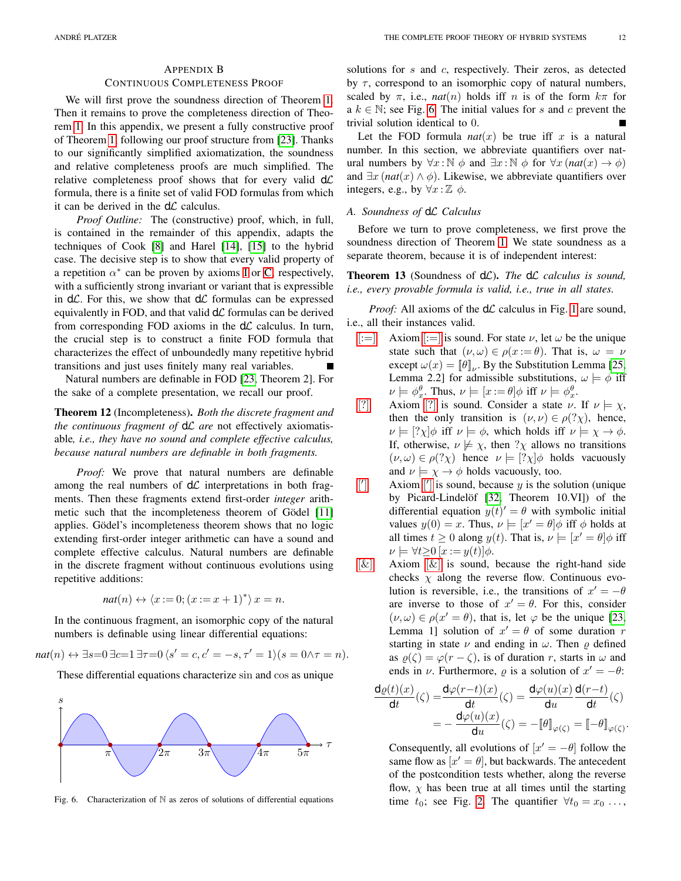#### CONTINUOUS COMPLETENESS PROOF

We will first prove the soundness direction of Theorem [1.](#page-2-15) Then it remains to prove the completeness direction of Theorem [1.](#page-2-15) In this appendix, we present a fully constructive proof of Theorem [1,](#page-2-15) following our proof structure from [\[23\]](#page-9-12). Thanks to our significantly simplified axiomatization, the soundness and relative completeness proofs are much simplified. The relative completeness proof shows that for every valid  $d\mathcal{L}$ formula, there is a finite set of valid FOD formulas from which it can be derived in the  $d\mathcal{L}$  calculus.

*Proof Outline:* The (constructive) proof, which, in full, is contained in the remainder of this appendix, adapts the techniques of Cook [\[8\]](#page-9-7) and Harel [\[14\]](#page-9-8), [\[15\]](#page-9-9) to the hybrid case. The decisive step is to show that every valid property of a repetition  $\alpha^*$  can be proven by axioms [I](#page-2-5) or [C,](#page-2-6) respectively, with a sufficiently strong invariant or variant that is expressible in  $d\mathcal{L}$ . For this, we show that  $d\mathcal{L}$  formulas can be expressed equivalently in FOD, and that valid  $d\mathcal{L}$  formulas can be derived from corresponding FOD axioms in the  $d\mathcal{L}$  calculus. In turn, the crucial step is to construct a finite FOD formula that characterizes the effect of unboundedly many repetitive hybrid transitions and just uses finitely many real variables.

Natural numbers are definable in FOD [\[23,](#page-9-12) Theorem 2]. For the sake of a complete presentation, we recall our proof.

Theorem 12 (Incompleteness). *Both the discrete fragment and the continuous fragment of* dL *are* not effectively axiomatisable*, i.e., they have no sound and complete effective calculus, because natural numbers are definable in both fragments.*

*Proof:* We prove that natural numbers are definable among the real numbers of  $d\mathcal{L}$  interpretations in both fragments. Then these fragments extend first-order *integer* arith-metic such that the incompleteness theorem of Gödel [\[11\]](#page-9-30) applies. Gödel's incompleteness theorem shows that no logic extending first-order integer arithmetic can have a sound and complete effective calculus. Natural numbers are definable in the discrete fragment without continuous evolutions using repetitive additions:

$$
nat(n) \leftrightarrow \langle x:=0; (x:=x+1)^* \rangle x = n.
$$

In the continuous fragment, an isomorphic copy of the natural numbers is definable using linear differential equations:

$$
nat(n) \leftrightarrow \exists s=0 \,\exists c=1 \,\exists \tau=0 \, \langle s' = c, c' = -s, \tau' = 1 \rangle (s = 0 \land \tau = n).
$$

These differential equations characterize sin and cos as unique



<span id="page-11-0"></span>Fig. 6. Characterization of N as zeros of solutions of differential equations

solutions for s and c, respectively. Their zeros, as detected by  $\tau$ , correspond to an isomorphic copy of natural numbers, scaled by  $\pi$ , i.e., *nat*(*n*) holds iff *n* is of the form  $k\pi$  for a  $k \in \mathbb{N}$ ; see Fig. [6.](#page-11-0) The initial values for s and c prevent the trivial solution identical to 0.

Let the FOD formula  $nat(x)$  be true iff x is a natural number. In this section, we abbreviate quantifiers over natural numbers by  $\forall x : \mathbb{N} \phi$  and  $\exists x : \mathbb{N} \phi$  for  $\forall x$  (*nat*(*x*)  $\rightarrow \phi$ ) and  $\exists x \, (nat(x) \land \phi)$ . Likewise, we abbreviate quantifiers over integers, e.g., by  $\forall x : \mathbb{Z} \phi$ .

# *A. Soundness of* dL *Calculus*

Before we turn to prove completeness, we first prove the soundness direction of Theorem [1.](#page-2-15) We state soundness as a separate theorem, because it is of independent interest:

# Theorem 13 (Soundness of dL). The dL calculus is sound, *i.e., every provable formula is valid, i.e., true in all states.*

*Proof:* All axioms of the  $d\mathcal{L}$  calculus in Fig. [1](#page-2-0) are sound, i.e., all their instances valid.

- $|\mathbf{v}| = |\mathbf{A} \times \mathbf{A}| = |\mathbf{A}| \times \mathbf{A}$  is sound. For state  $\nu$ , let  $\omega$  be the unique state such that  $(\nu, \omega) \in \rho(x := \theta)$ . That is,  $\omega = \nu$ except  $\omega(x) = [\![\theta]\!]_{\nu}$ . By the Substitution Lemma [\[25,](#page-9-13) Lemma 2.2] for admissible substitutions,  $\omega \models \phi$  iff  $\nu \models \phi_x^{\theta}$ . Thus,  $\nu \models [x := \theta]\phi$  iff  $\nu \models \phi_x^{\theta}$ .
- [\[?\]](#page-2-16) Axiom [?] is sound. Consider a state  $\nu$ . If  $\nu \models \chi$ , then the only transition is  $(\nu, \nu) \in \rho(? \chi)$ , hence,  $\nu \models [? \chi] \phi$  iff  $\nu \models \phi$ , which holds iff  $\nu \models \chi \rightarrow \phi$ . If, otherwise,  $\nu \not\models \chi$ , then ? $\chi$  allows no transitions  $(\nu, \omega) \in \rho(?\chi)$  hence  $\nu \models [?\chi] \phi$  holds vacuously and  $\nu \models \chi \rightarrow \phi$  holds vacuously, too.
- $\left\lceil \right\rceil$  $\Box$  Axiom [\[](#page-2-2)'] is sound, because y is the solution (unique by Picard-Lindelöf [\[32,](#page-9-16) Theorem 10.VI]) of the differential equation  $y(t)' = \theta$  with symbolic initial values  $y(0) = x$ . Thus,  $\nu \models [x' = \theta] \phi$  iff  $\phi$  holds at all times  $t \geq 0$  along  $y(t)$ . That is,  $\nu \models [x' = \theta]\phi$  iff  $\nu \models \forall t \geq 0 \ [x := y(t)] \phi.$
- $[\&]$  Axiom  $[\&]$  is sound, because the right-hand side checks  $\chi$  along the reverse flow. Continuous evolution is reversible, i.e., the transitions of  $x' = -\theta$ are inverse to those of  $x' = \theta$ . For this, consider  $(\nu, \omega) \in \rho(x' = \theta)$ , that is, let  $\varphi$  be the unique [\[23,](#page-9-12) Lemma 1] solution of  $x' = \theta$  of some duration r starting in state  $\nu$  and ending in  $\omega$ . Then  $\rho$  defined as  $\rho(\zeta) = \varphi(r - \zeta)$ , is of duration r, starts in  $\omega$  and ends in  $\nu$ . Furthermore,  $\rho$  is a solution of  $x' = -\theta$ :

$$
\frac{d\varrho(t)(x)}{dt}(\zeta) = \frac{d\varphi(r-t)(x)}{dt}(\zeta) = \frac{d\varphi(u)(x)}{du} \frac{d(r-t)}{dt}(\zeta)
$$

$$
= -\frac{d\varphi(u)(x)}{du}(\zeta) = -[\![\theta]\!]_{\varphi(\zeta)} = [-\![-\theta]\!]_{\varphi(\zeta)}.
$$

Consequently, all evolutions of  $[x' = -\theta]$  follow the same flow as  $[x' = \theta]$ , but backwards. The antecedent of the postcondition tests whether, along the reverse flow,  $\chi$  has been true at all times until the starting time  $t_0$ ; see Fig. [2.](#page-2-12) The quantifier  $\forall t_0 = x_0 \dots$ ,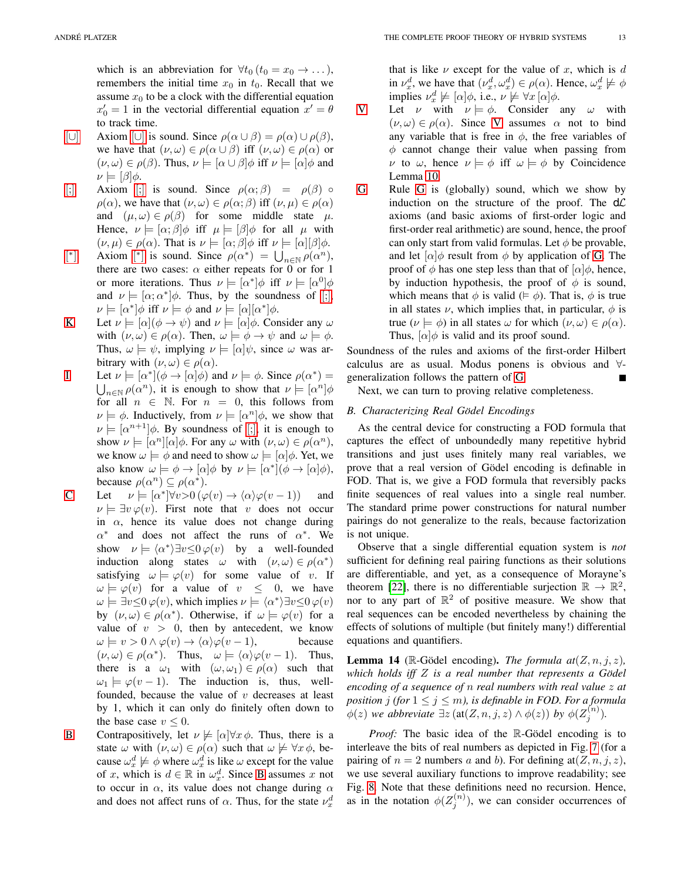which is an abbreviation for  $\forall t_0$  ( $t_0 = x_0 \rightarrow \dots$  ), remembers the initial time  $x_0$  in  $t_0$ . Recall that we assume  $x_0$  to be a clock with the differential equation  $x'_0 = 1$  in the vectorial differential equation  $x' = \theta$ to track time.

- [[∪](#page-2-17)] Axiom [∪] is sound. Since  $\rho(\alpha \cup \beta) = \rho(\alpha) \cup \rho(\beta)$ , we have that  $(\nu, \omega) \in \rho(\alpha \cup \beta)$  iff  $(\nu, \omega) \in \rho(\alpha)$  or  $(\nu, \omega) \in \rho(\beta)$ . Thus,  $\nu \models [\alpha \cup \beta] \phi$  iff  $\nu \models [\alpha] \phi$  and  $\nu \models [\beta]\phi$ .
- [\[;\]](#page-2-18) Axiom [;] is sound. Since  $\rho(\alpha;\beta) = \rho(\beta)$   $\circ$  $\rho(\alpha)$ , we have that  $(\nu, \omega) \in \rho(\alpha; \beta)$  iff  $(\nu, \mu) \in \rho(\alpha)$ and  $(\mu, \omega) \in \rho(\beta)$  for some middle state  $\mu$ . Hence,  $\nu \models [\alpha; \beta] \phi$  iff  $\mu \models [\beta] \phi$  for all  $\mu$  with  $(\nu, \mu) \in \rho(\alpha)$ . That is  $\nu \models [\alpha; \beta] \phi$  iff  $\nu \models [\alpha][\beta] \phi$ .
- [ ∗ | Axiom  $[\ast]$  $[\ast]$  is sound. Since  $\rho(\alpha^*) = \bigcup_{n \in \mathbb{N}} \rho(\alpha^n)$ , there are two cases:  $\alpha$  either repeats for 0 or for 1 or more iterations. Thus  $\nu \models [\alpha^*]\phi$  iff  $\nu \models [\alpha^0]\phi$ and  $\nu \models [\alpha; \alpha^*] \phi$ . Thus, by the soundness of [\[;\]](#page-2-18),  $\nu \models [\alpha^*] \phi \text{ iff } \nu \models \phi \text{ and } \nu \models [\alpha][\alpha^*] \phi.$
- [K](#page-2-4) Let  $\nu \models [\alpha](\phi \rightarrow \psi)$  and  $\nu \models [\alpha]\phi$ . Consider any  $\omega$ with  $(\nu, \omega) \in \rho(\alpha)$ . Then,  $\omega \models \phi \rightarrow \psi$  and  $\omega \models \phi$ . Thus,  $\omega \models \psi$ , implying  $\nu \models [\alpha]\psi$ , since  $\omega$  was arbitrary with  $(\nu, \omega) \in \rho(\alpha)$ .
- [I](#page-2-5) Let  $\nu \models [\alpha^*](\phi \rightarrow [\alpha]\phi)$  and  $\nu \models \phi$ . Since  $\rho(\alpha^*) =$  $\bigcup_{n\in\mathbb{N}}\rho(\alpha^n)$ , it is enough to show that  $\nu\models[\alpha^n]\phi$ for all  $n \in \mathbb{N}$ . For  $n = 0$ , this follows from  $\nu \models \phi$ . Inductively, from  $\nu \models [\alpha^n]\phi$ , we show that  $\nu \models [\alpha^{n+1}]\phi$ . By soundness of [\[;\]](#page-2-18), it is enough to show  $\nu \models [\alpha^n][\alpha]\phi$ . For any  $\omega$  with  $(\nu, \omega) \in \rho(\alpha^n)$ , we know  $\omega \models \phi$  and need to show  $\omega \models [\alpha]\phi$ . Yet, we also know  $\omega \models \phi \rightarrow [\alpha] \phi$  by  $\nu \models [\alpha^*](\phi \rightarrow [\alpha] \phi)$ , because  $\rho(\alpha^n) \subseteq \rho(\alpha^*).$
- [C](#page-2-6) Let  $\nu \models [\alpha^*] \forall v > 0 \, (\varphi(v) \rightarrow \langle \alpha \rangle \varphi(v-1))$  and  $\nu \models \exists v \varphi(v)$ . First note that v does not occur in  $\alpha$ , hence its value does not change during  $\alpha^*$  and does not affect the runs of  $\alpha^*$ . We show  $\nu \models \langle \alpha^* \rangle \exists v \leq 0 \varphi(v)$  by a well-founded induction along states  $\omega$  with  $(\nu, \omega) \in \rho(\alpha^*)$ satisfying  $\omega \models \varphi(v)$  for some value of v. If  $\omega \models \varphi(v)$  for a value of  $v \leq 0$ , we have  $\omega \models \exists v \leq 0 \, \varphi(v)$ , which implies  $\nu \models \langle \alpha^* \rangle \exists v \leq 0 \, \varphi(v)$ by  $(\nu, \omega) \in \rho(\alpha^*)$ . Otherwise, if  $\omega \models \varphi(v)$  for a value of  $v > 0$ , then by antecedent, we know  $\omega \models v > 0 \land \varphi(v) \rightarrow \langle \alpha \rangle \varphi(v-1)$ , because  $(\nu, \omega) \in \rho(\alpha^*)$ . Thus,  $\omega \models \langle \alpha \rangle \varphi(v-1)$ . Thus, there is a  $\omega_1$  with  $(\omega, \omega_1) \in \rho(\alpha)$  such that  $\omega_1 \models \varphi(v-1)$ . The induction is, thus, wellfounded, because the value of  $v$  decreases at least by 1, which it can only do finitely often down to the base case  $v \leq 0$ .
- [B](#page-2-7) Contrapositively, let  $\nu \not\models [\alpha]\forall x \phi$ . Thus, there is a state  $\omega$  with  $(\nu, \omega) \in \rho(\alpha)$  such that  $\omega \not\models \forall x \phi$ , because  $\omega_x^d \not\models \phi$  where  $\omega_x^d$  is like  $\omega$  except for the value of x, which is  $d \in \mathbb{R}$  in  $\omega_x^d$ . Since [B](#page-2-7) assumes x not to occur in  $\alpha$ , its value does not change during  $\alpha$ and does not affect runs of  $\alpha$ . Thus, for the state  $\nu_x^d$

that is like  $\nu$  except for the value of x, which is d in  $\nu_x^d$ , we have that  $(\nu_x^d, \omega_x^d) \in \rho(\alpha)$ . Hence,  $\omega_x^d \not\models \phi$ implies  $\nu_x^d \not\models [\alpha]\phi$ , i.e.,  $\nu \not\models \forall x [\alpha]\phi$ .

- [V](#page-2-9) Let  $\nu$  with  $\nu \models \phi$ . Consider any  $\omega$  with  $(\nu, \omega) \in \rho(\alpha)$ . Since [V](#page-2-9) assumes  $\alpha$  not to bind any variable that is free in  $\phi$ , the free variables of  $\phi$  cannot change their value when passing from v to  $\omega$ , hence  $\nu \models \phi$  iff  $\omega \models \phi$  by Coincidence Lemma [10.](#page-8-0)
- [G](#page-2-10) Rule [G](#page-2-10) is (globally) sound, which we show by induction on the structure of the proof. The  $d\mathcal{L}$ axioms (and basic axioms of first-order logic and first-order real arithmetic) are sound, hence, the proof can only start from valid formulas. Let  $\phi$  be provable, and let  $\alpha$   $\phi$  result from  $\phi$  by application of [G.](#page-2-10) The proof of  $\phi$  has one step less than that of  $\alpha | \phi$ , hence, by induction hypothesis, the proof of  $\phi$  is sound, which means that  $\phi$  is valid ( $\models \phi$ ). That is,  $\phi$  is true in all states  $\nu$ , which implies that, in particular,  $\phi$  is true ( $\nu \models \phi$ ) in all states  $\omega$  for which  $(\nu, \omega) \in \rho(\alpha)$ . Thus,  $\lbrack \alpha \rbrack \phi$  is valid and its proof sound.

Soundness of the rules and axioms of the first-order Hilbert calculus are as usual. Modus ponens is obvious and ∀ generalization follows the pattern of [G.](#page-2-10)

Next, we can turn to proving relative completeness.

# *B. Characterizing Real Godel Encodings ¨*

As the central device for constructing a FOD formula that captures the effect of unboundedly many repetitive hybrid transitions and just uses finitely many real variables, we prove that a real version of Gödel encoding is definable in FOD. That is, we give a FOD formula that reversibly packs finite sequences of real values into a single real number. The standard prime power constructions for natural number pairings do not generalize to the reals, because factorization is not unique.

Observe that a single differential equation system is *not* sufficient for defining real pairing functions as their solutions are differentiable, and yet, as a consequence of Morayne's theorem [\[22\]](#page-9-31), there is no differentiable surjection  $\mathbb{R} \to \mathbb{R}^2$ , nor to any part of  $\mathbb{R}^2$  of positive measure. We show that real sequences can be encoded nevertheless by chaining the effects of solutions of multiple (but finitely many!) differential equations and quantifiers.

<span id="page-12-0"></span>**Lemma 14** ( $\mathbb{R}$ -Gödel encoding). *The formula at*( $Z$ ,  $n$ ,  $j$ ,  $z$ ), *which holds iff* Z *is a real number that represents a Godel ¨ encoding of a sequence of* n *real numbers with real value* z *at position j (for*  $1 \leq j \leq m$ *), is definable in FOD. For a formula*  $\phi(z)$  we abbreviate  $\exists z \left( \text{at}(Z, n, j, z) \wedge \phi(z) \right)$  by  $\phi(Z_j^{(n)})$ .

*Proof:* The basic idea of the R-Gödel encoding is to interleave the bits of real numbers as depicted in Fig. [7](#page-13-0) (for a pairing of  $n = 2$  numbers a and b). For defining at  $(Z, n, j, z)$ , we use several auxiliary functions to improve readability; see Fig. [8.](#page-13-1) Note that these definitions need no recursion. Hence, as in the notation  $\phi(Z_j^{(n)})$ , we can consider occurrences of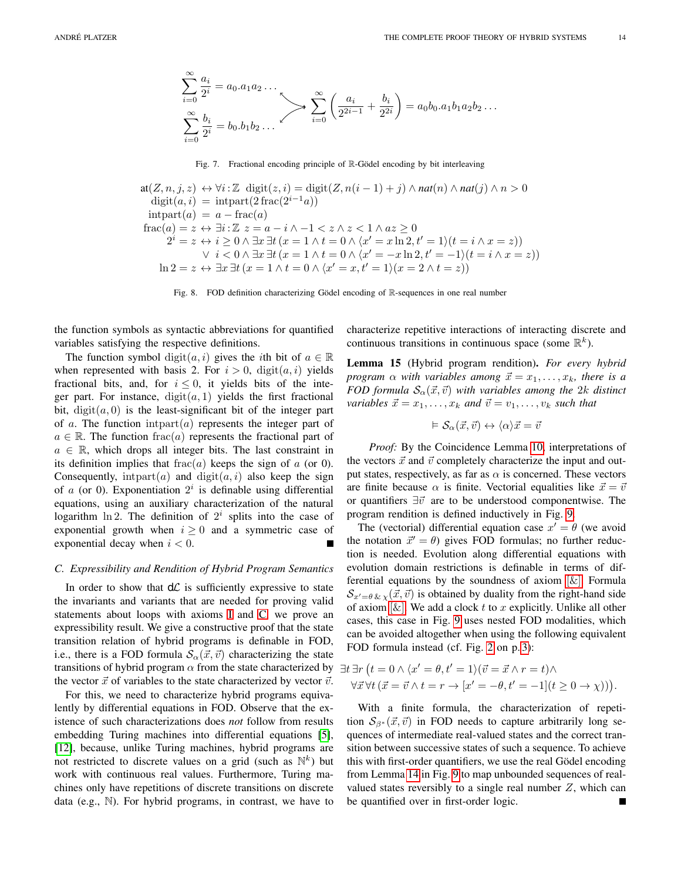$$
\sum_{i=0}^{\infty} \frac{a_i}{2^i} = a_0 \cdot a_1 a_2 \dots
$$
  

$$
\sum_{i=0}^{\infty} \frac{a_i}{2^i} = b_0 \cdot b_1 b_2 \dots
$$
  

$$
\sum_{i=0}^{\infty} \left( \frac{a_i}{2^{2i-1}} + \frac{b_i}{2^{2i}} \right) = a_0 b_0 \cdot a_1 b_1 a_2 b_2 \dots
$$

<span id="page-13-0"></span>Fig. 7. Fractional encoding principle of  $\mathbb{R}$ -Gödel encoding by bit interleaving

at(Z, n, j, z) ↔  $\forall i: \mathbb{Z}$  digit(z, i) = digit(Z, n(i - 1) + j) ∧ nat(n) ∧ nat(j) ∧ n > 0 digit $(a, i)$  = intpart $(2 \text{frac}(2^{i-1}a))$  $intpart(a) = a - frac(a)$ frac $(a) = z \leftrightarrow \exists i : \mathbb{Z} \ z = a - i \wedge -1 \langle z \wedge z \langle 1 \wedge az \rangle 0$  $2^{i} = z \leftrightarrow i \geq 0 \land \exists x \exists t (x = 1 \land t = 0 \land \langle x' = x \ln 2, t' = 1 \rangle (t = i \land x = z))$  $\lor i < 0 \land \exists x \, \exists t \, (x = 1 \land t = 0 \land \langle x' = -x \ln 2, t' = -1 \rangle (t = i \land x = z))$  $\ln 2 = z \leftrightarrow \exists x \exists t (x = 1 \land t = 0 \land \langle x' = x, t' = 1 \rangle (x = 2 \land t = z))$ 

<span id="page-13-1"></span>Fig. 8. FOD definition characterizing Gödel encoding of R-sequences in one real number

the function symbols as syntactic abbreviations for quantified variables satisfying the respective definitions.

The function symbol digit $(a, i)$  gives the *i*th bit of  $a \in \mathbb{R}$ when represented with basis 2. For  $i > 0$ ,  $\text{digit}(a, i)$  yields fractional bits, and, for  $i \leq 0$ , it yields bits of the integer part. For instance,  $\text{digit}(a, 1)$  yields the first fractional bit, digit $(a, 0)$  is the least-significant bit of the integer part of a. The function intpart $(a)$  represents the integer part of  $a \in \mathbb{R}$ . The function frac(a) represents the fractional part of  $a \in \mathbb{R}$ , which drops all integer bits. The last constraint in its definition implies that  $frac(a)$  keeps the sign of a (or 0). Consequently, intpart(*a*) and digit(*a*, *i*) also keep the sign of  $a$  (or 0). Exponentiation  $2^i$  is definable using differential equations, using an auxiliary characterization of the natural logarithm  $\ln 2$ . The definition of  $2^i$  splits into the case of exponential growth when  $i \geq 0$  and a symmetric case of exponential decay when  $i < 0$ .

#### *C. Expressibility and Rendition of Hybrid Program Semantics*

In order to show that  $d\mathcal{L}$  is sufficiently expressive to state the invariants and variants that are needed for proving valid statements about loops with axioms [I](#page-2-5) and [C,](#page-2-6) we prove an expressibility result. We give a constructive proof that the state transition relation of hybrid programs is definable in FOD, i.e., there is a FOD formula  $\mathcal{S}_{\alpha}(\vec{x}, \vec{v})$  characterizing the state transitions of hybrid program  $\alpha$  from the state characterized by the vector  $\vec{x}$  of variables to the state characterized by vector  $\vec{v}$ .

For this, we need to characterize hybrid programs equivalently by differential equations in FOD. Observe that the existence of such characterizations does *not* follow from results embedding Turing machines into differential equations [\[5\]](#page-9-28), [\[12\]](#page-9-29), because, unlike Turing machines, hybrid programs are not restricted to discrete values on a grid (such as  $\mathbb{N}^k$ ) but work with continuous real values. Furthermore, Turing machines only have repetitions of discrete transitions on discrete data (e.g., N). For hybrid programs, in contrast, we have to characterize repetitive interactions of interacting discrete and continuous transitions in continuous space (some  $\mathbb{R}^k$ ).

<span id="page-13-2"></span>Lemma 15 (Hybrid program rendition). *For every hybrid program*  $\alpha$  *with variables among*  $\vec{x} = x_1, \dots, x_k$ *, there is a FOD formula*  $S_\alpha(\vec{x}, \vec{v})$  *with variables among the 2k distinct variables*  $\vec{x} = x_1, \dots, x_k$  *and*  $\vec{v} = v_1, \dots, v_k$  *such that* 

$$
\vDash \mathcal{S}_\alpha(\vec{x},\vec{v}) \leftrightarrow \langle \alpha \rangle \vec{x} = \vec{v}
$$

*Proof:* By the Coincidence Lemma [10,](#page-8-0) interpretations of the vectors  $\vec{x}$  and  $\vec{v}$  completely characterize the input and output states, respectively, as far as  $\alpha$  is concerned. These vectors are finite because  $\alpha$  is finite. Vectorial equalities like  $\vec{x} = \vec{v}$ or quantifiers  $\exists \vec{v}$  are to be understood componentwise. The program rendition is defined inductively in Fig. [9.](#page-14-0)

The (vectorial) differential equation case  $x' = \theta$  (we avoid the notation  $\vec{x}' = \theta$ ) gives FOD formulas; no further reduction is needed. Evolution along differential equations with evolution domain restrictions is definable in terms of differential equations by the soundness of axiom  $[\&]$ . Formula  $\mathcal{S}_{x'=\theta\& x}(\vec{x}, \vec{v})$  is obtained by duality from the right-hand side of axiom  $[\&]$ . We add a clock t to x explicitly. Unlike all other cases, this case in Fig. [9](#page-14-0) uses nested FOD modalities, which can be avoided altogether when using the following equivalent FOD formula instead (cf. Fig. [2](#page-2-12) on p. [3\)](#page-2-12):

$$
\exists t \exists r \left( t = 0 \land \langle x' = \theta, t' = 1 \rangle (\vec{v} = \vec{x} \land r = t) \land \forall \vec{x} \forall t \left( \vec{x} = \vec{v} \land t = r \rightarrow [x' = -\theta, t' = -1](t \ge 0 \rightarrow \chi)) \right).
$$

With a finite formula, the characterization of repetition  $S_{\beta*}(\vec{x}, \vec{v})$  in FOD needs to capture arbitrarily long sequences of intermediate real-valued states and the correct transition between successive states of such a sequence. To achieve this with first-order quantifiers, we use the real Gödel encoding from Lemma [14](#page-12-0) in Fig. [9](#page-14-0) to map unbounded sequences of realvalued states reversibly to a single real number  $Z$ , which can be quantified over in first-order logic.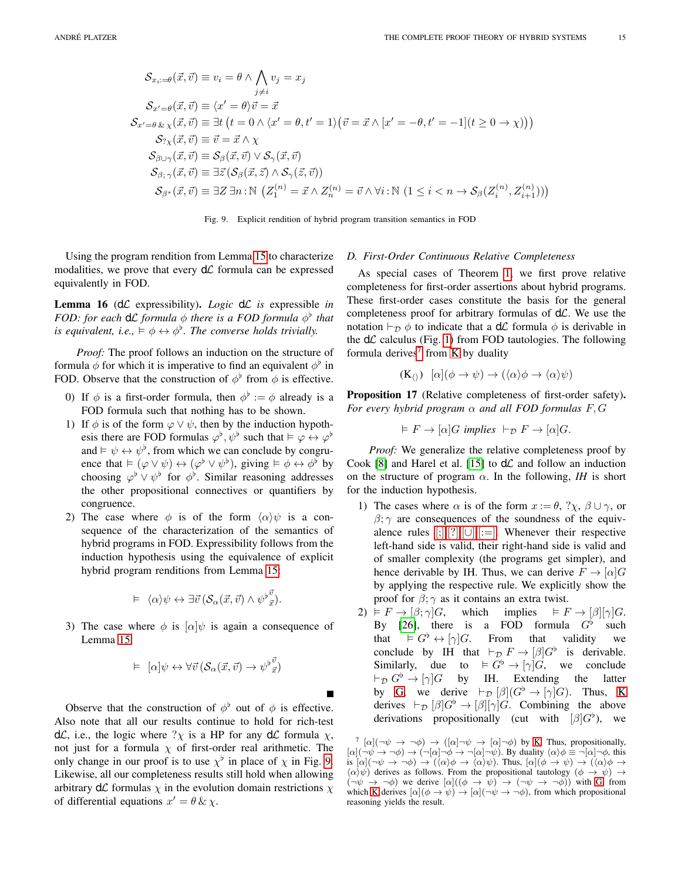$$
\mathcal{S}_{x_i:=\theta}(\vec{x}, \vec{v}) \equiv v_i = \theta \land \bigwedge_{j \neq i} v_j = x_j
$$
\n
$$
\mathcal{S}_{x'=\theta}(\vec{x}, \vec{v}) \equiv \langle x' = \theta \rangle \vec{v} = \vec{x}
$$
\n
$$
\mathcal{S}_{x'=\theta \& x}(\vec{x}, \vec{v}) \equiv \exists t \ (t = 0 \land \langle x' = \theta, t' = 1 \rangle \big(\vec{v} = \vec{x} \land [x' = -\theta, t' = -1](t \ge 0 \to \chi)\big)\big)
$$
\n
$$
\mathcal{S}_{\gamma_X}(\vec{x}, \vec{v}) \equiv \vec{v} = \vec{x} \land \chi
$$
\n
$$
\mathcal{S}_{\beta \mid \beta \in (\vec{x}, \vec{v})}(\vec{x}, \vec{v}) \equiv \mathcal{S}_{\beta}(\vec{x}, \vec{v}) \lor \mathcal{S}_{\gamma}(\vec{x}, \vec{v})
$$

$$
\mathcal{S}_{\beta;\gamma}(\vec{x},\vec{v}) \equiv \exists \vec{z} \left( \mathcal{S}_{\beta}(\vec{x},\vec{z}) \land \mathcal{S}_{\gamma}(\vec{z},\vec{v}) \right) \mathcal{S}_{\beta^*}(\vec{x},\vec{v}) \equiv \exists Z \exists n : \mathbb{N} \left( Z_1^{(n)} = \vec{x} \land Z_n^{(n)} = \vec{v} \land \forall i : \mathbb{N} \left( 1 \leq i < n \rightarrow \mathcal{S}_{\beta} (Z_i^{(n)}, Z_{i+1}^{(n)}) \right) \right)
$$

<span id="page-14-0"></span>

П

Using the program rendition from Lemma [15](#page-13-2) to characterize modalities, we prove that every  $d\mathcal{L}$  formula can be expressed equivalently in FOD.

<span id="page-14-3"></span>**Lemma 16** ( $d\mathcal{L}$  expressibility). *Logic*  $d\mathcal{L}$  *is* expressible *in FOD: for each*  $d\mathcal{L}$  *formula*  $\phi$  *there is a FOD formula*  $\phi^{\flat}$  *that is equivalent, i.e.,*  $\models \phi \leftrightarrow \phi^{\flat}$ *. The converse holds trivially.* 

*Proof:* The proof follows an induction on the structure of formula  $\phi$  for which it is imperative to find an equivalent  $\phi^{\flat}$  in FOD. Observe that the construction of  $\phi^{\flat}$  from  $\phi$  is effective.

- 0) If  $\phi$  is a first-order formula, then  $\phi^{\flat} := \phi$  already is a FOD formula such that nothing has to be shown.
- 1) If  $\phi$  is of the form  $\varphi \lor \psi$ , then by the induction hypothesis there are FOD formulas  $\varphi^{\flat}, \psi^{\flat}$  such that  $\models \varphi \leftrightarrow \varphi^{\flat}$ and  $\models \psi \leftrightarrow \psi^{\flat}$ , from which we can conclude by congruence that  $\models (\varphi \lor \psi) \leftrightarrow (\varphi^{\flat} \lor \psi^{\flat})$ , giving  $\models \phi \leftrightarrow \phi^{\flat}$  by choosing  $\varphi^{\flat} \vee \psi^{\flat}$  for  $\phi^{\flat}$ . Similar reasoning addresses the other propositional connectives or quantifiers by congruence.
- 2) The case where  $\phi$  is of the form  $\langle \alpha \rangle \psi$  is a consequence of the characterization of the semantics of hybrid programs in FOD. Expressibility follows from the induction hypothesis using the equivalence of explicit hybrid program renditions from Lemma [15:](#page-13-2)

$$
\vDash \langle \alpha \rangle \psi \leftrightarrow \exists \vec{v} \left( \mathcal{S}_{\alpha}(\vec{x}, \vec{v}) \wedge \psi^{\flat} \vec{x} \right).
$$

3) The case where  $\phi$  is  $\alpha|\psi$  is again a consequence of Lemma [15:](#page-13-2)

$$
\vDash [\alpha] \psi \leftrightarrow \forall \vec{v} \left( \mathcal{S}_{\alpha}(\vec{x}, \vec{v}) \rightarrow \psi^{\flat} \vec{v} \right)
$$

Observe that the construction of  $\phi^{\flat}$  out of  $\phi$  is effective. Also note that all our results continue to hold for rich-test d $\mathcal{L}$ , i.e., the logic where  $? \chi$  is a HP for any d $\mathcal{L}$  formula  $\chi$ , not just for a formula  $\chi$  of first-order real arithmetic. The only change in our proof is to use  $\chi^{\flat}$  in place of  $\chi$  in Fig. [9.](#page-14-0) Likewise, all our completeness results still hold when allowing arbitrary  $d\mathcal{L}$  formulas  $\chi$  in the evolution domain restrictions  $\chi$ of differential equations  $x' = \theta \& \chi$ .

#### *D. First-Order Continuous Relative Completeness*

As special cases of Theorem [1,](#page-2-15) we first prove relative completeness for first-order assertions about hybrid programs. These first-order cases constitute the basis for the general completeness proof for arbitrary formulas of  $d\mathcal{L}$ . We use the notation  $\vdash_{\mathcal{D}} \phi$  to indicate that a d $\mathcal{L}$  formula  $\phi$  is derivable in the  $d\mathcal{L}$  calculus (Fig. [1\)](#page-2-0) from FOD tautologies. The following formula derives<sup>[7](#page-14-1)</sup> from [K](#page-2-4) by duality

<span id="page-14-4"></span>
$$
(\mathbf{K}_{\langle\rangle}) \ [\alpha](\phi \to \psi) \to (\langle \alpha \rangle \phi \to \langle \alpha \rangle \psi)
$$

<span id="page-14-2"></span>Proposition 17 (Relative completeness of first-order safety). *For every hybrid program*  $\alpha$  *and all FOD formulas*  $F, G$ 

$$
\vDash F \to [\alpha]G \text{ implies } \vdash_{\mathcal{D}} F \to [\alpha]G.
$$

*Proof:* We generalize the relative completeness proof by Cook [\[8\]](#page-9-7) and Harel et al. [\[15\]](#page-9-9) to  $d\mathcal{L}$  and follow an induction on the structure of program  $\alpha$ . In the following, *IH* is short for the induction hypothesis.

- 1) The cases where  $\alpha$  is of the form  $x := \theta$ ,  $? \chi$ ,  $\beta \cup \gamma$ , or  $\beta$ ;  $\gamma$  are consequences of the soundness of the equivalence rules  $[;]$ , $[?]$ , $[∪]$  $[∪]$  $[∪]$ , $[:=]$ . Whenever their respective left-hand side is valid, their right-hand side is valid and of smaller complexity (the programs get simpler), and hence derivable by IH. Thus, we can derive  $F \to [\alpha] G$ by applying the respective rule. We explicitly show the proof for  $\beta$ ;  $\gamma$  as it contains an extra twist.
- 2)  $\models F \rightarrow [\beta; \gamma]G$ , which implies  $\models F \rightarrow [\beta][\gamma]G$ . By [\[26\]](#page-9-18), there is a FOD formula  $G^{\flat}$  such that  $\models G^{\flat} \leftrightarrow [\gamma]G$ . From that validity we conclude by IH that  $\vdash_{\mathcal{D}} F \to [\beta]G^{\flat}$  is derivable. Similarly, due to  $\models G^{\flat} \rightarrow [\gamma]G$ , we conclude  $\vdash_{\mathcal{D}} G^{\flat} \to [\gamma] G$  by IH. Extending the latter by [G,](#page-2-10) we derive  $\vdash_{\mathcal{D}} [\beta](G^{\flat} \to [\gamma]G)$ . Thus, [K](#page-2-4) derives  $\vdash_{\mathcal{D}} [\beta] G^{\flat} \rightarrow [\beta][\gamma] G$ . Combining the above derivations propositionally (cut with  $[\beta]G^{\flat}$ ), we

<span id="page-14-1"></span> $\int_{0}^{7} [\alpha] (\neg \psi \rightarrow \neg \phi) \rightarrow ([\alpha] \neg \psi \rightarrow [\alpha] \neg \phi)$  by [K.](#page-2-4) Thus, propositionally,  $[\alpha](\neg \psi \rightarrow \neg \phi) \rightarrow (\neg [\alpha] \neg \phi \rightarrow \neg [\alpha] \neg \psi)$ . By duality  $\langle \alpha \rangle \phi \equiv \neg [\alpha] \neg \phi$ , this is  $[\alpha](\neg \psi \rightarrow \neg \phi) \rightarrow (\langle \alpha \rangle \phi \rightarrow \langle \alpha \rangle \psi)$ . Thus,  $[\alpha](\phi \rightarrow \psi) \rightarrow (\langle \alpha \rangle \phi \rightarrow$  $\langle \alpha \rangle \psi$ ) derives as follows. From the propositional tautology  $(\phi \to \psi) \to$  $(\neg \psi \rightarrow \neg \phi)$  we derive  $[\alpha]((\phi \rightarrow \psi) \rightarrow (\neg \psi \rightarrow \neg \phi))$  with [G,](#page-2-10) from which [K](#page-2-4) derives  $[\alpha](\phi \rightarrow \psi) \rightarrow [\alpha](\neg \psi \rightarrow \neg \phi)$ , from which propositional reasoning yields the result.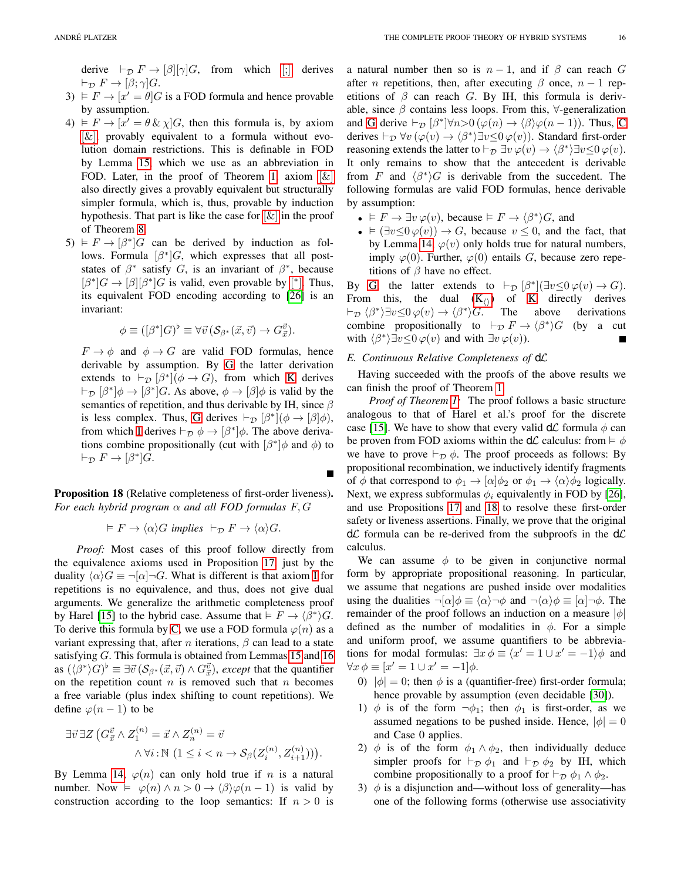derive  $\vdash_{\mathcal{D}} F \rightarrow [\beta][\gamma]G$ , from which [\[;\]](#page-2-18) derives  $\vdash_{\mathcal{D}} F \rightarrow [\beta; \gamma] G.$ 

- $3) \models F \rightarrow [x' = \theta]G$  is a FOD formula and hence provable by assumption.
- 4)  $\models F \rightarrow [\hat{x}' = \theta \& \chi]G$ , then this formula is, by axiom  $[\&]$ , provably equivalent to a formula without evolution domain restrictions. This is definable in FOD by Lemma [15,](#page-13-2) which we use as an abbreviation in FOD. Later, in the proof of Theorem [1,](#page-2-15) axiom  $[\&]$ also directly gives a provably equivalent but structurally simpler formula, which is, thus, provable by induction hypothesis. That part is like the case for  $[\&]$  in the proof of Theorem [8.](#page-6-8)
- $5) \vDash F \rightarrow [\beta^*]G$  can be derived by induction as follows. Formula  $[\beta^*]G$ , which expresses that all poststates of  $\beta^*$  satisfy G, is an invariant of  $\beta^*$ , because  $[\beta^*]G \to [\beta][\beta^*]G$  $[\beta^*]G \to [\beta][\beta^*]G$  is valid, even provable by [\*]. Thus, its equivalent FOD encoding according to [\[26\]](#page-9-18) is an invariant:

$$
\phi \equiv ([\beta^*]G)^{\flat} \equiv \forall \vec{v} \left( \mathcal{S}_{\beta^*}(\vec{x}, \vec{v}) \rightarrow G^{\vec{v}}_{\vec{x}} \right).
$$

 $F \to \phi$  and  $\phi \to G$  are valid FOD formulas, hence derivable by assumption. By [G](#page-2-10) the latter derivation extends to  $\vdash_{\mathcal{D}} [\beta^*](\phi \to G)$ , from which [K](#page-2-4) derives  $\vdash_{\mathcal{D}} [\beta^*] \phi \rightarrow [\beta^*] G$ . As above,  $\phi \rightarrow [\beta] \phi$  is valid by the semantics of repetition, and thus derivable by IH, since  $\beta$ is less complex. Thus, [G](#page-2-10) derives  $\vdash_{\mathcal{D}} [\beta^*](\phi \to [\beta]\phi)$ , from which [I](#page-2-5) derives  $\vdash_{\mathcal{D}} \phi \rightarrow [\beta^*]\phi$ . The above derivations combine propositionally (cut with  $\left[\beta^*\right]\phi$  and  $\phi$ ) to  $\vdash_{\mathcal{D}} F \to [\beta^*] G.$ 

<span id="page-15-0"></span>Proposition 18 (Relative completeness of first-order liveness). *For each hybrid program* α *and all FOD formulas* F, G

$$
\vDash F \to \langle \alpha \rangle G \implies \vdash_{\mathcal{D}} F \to \langle \alpha \rangle G.
$$

*Proof:* Most cases of this proof follow directly from the equivalence axioms used in Proposition [17,](#page-14-2) just by the duality  $\langle \alpha \rangle G \equiv \neg[\alpha] \neg G$ . What is different is that axiom [I](#page-2-5) for repetitions is no equivalence, and thus, does not give dual arguments. We generalize the arithmetic completeness proof by Harel [\[15\]](#page-9-9) to the hybrid case. Assume that  $\models F \rightarrow \langle \beta^* \rangle G$ . To derive this formula by [C,](#page-2-6) we use a FOD formula  $\varphi(n)$  as a variant expressing that, after *n* iterations,  $\beta$  can lead to a state satisfying  $G$ . This formula is obtained from Lemmas [15](#page-13-2) and [16](#page-14-3) as  $(\langle \beta^* \rangle G)^{\flat} \equiv \exists \vec{v} \, (\mathcal{S}_{\beta^*}(\vec{x}, \vec{v}) \wedge G^{\vec{v}}_{\vec{x}})$ , *except* that the quantifier on the repetition count  $n$  is removed such that  $n$  becomes a free variable (plus index shifting to count repetitions). We define  $\varphi(n-1)$  to be

$$
\exists \vec{v} \,\exists Z \left( G_{\vec{x}}^{\vec{v}} \wedge Z_1^{(n)} = \vec{x} \wedge Z_n^{(n)} = \vec{v} \right. \\
\wedge \forall i : \mathbb{N} \ (1 \leq i < n \rightarrow \mathcal{S}_{\beta}(Z_i^{(n)}, Z_{i+1}^{(n)})) \right).
$$

By Lemma [14,](#page-12-0)  $\varphi(n)$  can only hold true if n is a natural number. Now  $\vDash \varphi(n) \land n > 0 \rightarrow \langle \beta \rangle \varphi(n-1)$  is valid by construction according to the loop semantics: If  $n > 0$  is a natural number then so is  $n-1$ , and if  $\beta$  can reach G after *n* repetitions, then, after executing  $\beta$  once,  $n - 1$  repetitions of  $\beta$  can reach G. By IH, this formula is derivable, since  $\beta$  contains less loops. From this,  $\forall$ -generalization and [G](#page-2-10) derive  $\vdash_{\mathcal{D}} [\beta^*] \forall n > 0 \ (\varphi(n) \to \langle \beta \rangle \varphi(n-1))$ . Thus, [C](#page-2-6) derives  $\vdash_{\mathcal{D}} \forall v (\varphi(v) \rightarrow \langle \beta^* \rangle \exists v \leq 0 \varphi(v))$ . Standard first-order reasoning extends the latter to  $\vdash_{\mathcal{D}} \exists v \, \varphi(v) \rightarrow \langle \beta^* \rangle \exists v \leq 0 \, \varphi(v)$ . It only remains to show that the antecedent is derivable from F and  $\langle \beta^* \rangle G$  is derivable from the succedent. The following formulas are valid FOD formulas, hence derivable by assumption:

- $F \to \exists v \varphi(v)$ , because  $F \to \langle \beta^* \rangle G$ , and
- $\models (\exists v \leq 0 \varphi(v)) \rightarrow G$ , because  $v \leq 0$ , and the fact, that by Lemma [14,](#page-12-0)  $\varphi(v)$  only holds true for natural numbers, imply  $\varphi(0)$ . Further,  $\varphi(0)$  entails G, because zero repetitions of  $\beta$  have no effect.

By [G,](#page-2-10) the latter extends to  $\vdash_{\mathcal{D}} [\beta^*](\exists v \leq 0 \, \varphi(v) \to G)$ . From this, the dual  $(K_1)$  $(K_1)$  of [K](#page-2-4) directly derives  $\vdash_{\mathcal{D}} \langle \beta^* \rangle \exists v \leq 0 \varphi(v) \rightarrow \langle \beta^* \rangle$ The above derivations combine propositionally to  $\vdash_{\mathcal{D}} F \to \langle \beta^* \rangle G$  (by a cut with  $\langle \beta^* \rangle \exists v \leq 0 \varphi(v)$  and with  $\exists v \varphi(v)$ ).

#### *E. Continuous Relative Completeness of* dL

Having succeeded with the proofs of the above results we can finish the proof of Theorem [1.](#page-2-15)

*Proof of Theorem [1:](#page-2-15)* The proof follows a basic structure analogous to that of Harel et al.'s proof for the discrete case [\[15\]](#page-9-9). We have to show that every valid  $d\mathcal{L}$  formula  $\phi$  can be proven from FOD axioms within the  $d\mathcal{L}$  calculus: from  $\models \phi$ we have to prove  $\vdash_{\mathcal{D}} \phi$ . The proof proceeds as follows: By propositional recombination, we inductively identify fragments of  $\phi$  that correspond to  $\phi_1 \rightarrow [\alpha]\phi_2$  or  $\phi_1 \rightarrow \langle \alpha \rangle \phi_2$  logically. Next, we express subformulas  $\phi_i$  equivalently in FOD by [\[26\]](#page-9-18), and use Propositions [17](#page-14-2) and [18](#page-15-0) to resolve these first-order safety or liveness assertions. Finally, we prove that the original  $d\mathcal{L}$  formula can be re-derived from the subproofs in the  $d\mathcal{L}$ calculus.

We can assume  $\phi$  to be given in conjunctive normal form by appropriate propositional reasoning. In particular, we assume that negations are pushed inside over modalities using the dualities  $\neg[\alpha]\phi \equiv \langle \alpha \rangle \neg \phi$  and  $\neg \langle \alpha \rangle \phi \equiv [\alpha] \neg \phi$ . The remainder of the proof follows an induction on a measure  $|\phi|$ defined as the number of modalities in  $\phi$ . For a simple and uniform proof, we assume quantifiers to be abbreviations for modal formulas:  $\exists x \phi \equiv \langle x' = 1 \cup x' = -1 \rangle \phi$  and  $\forall x \, \phi \equiv [x' = 1 \cup x' = -1] \phi.$ 

- 0)  $|\phi| = 0$ ; then  $\phi$  is a (quantifier-free) first-order formula; hence provable by assumption (even decidable [\[30\]](#page-9-14)).
- 1)  $\phi$  is of the form  $\neg \phi_1$ ; then  $\phi_1$  is first-order, as we assumed negations to be pushed inside. Hence,  $|\phi| = 0$ and Case 0 applies.
- 2)  $\phi$  is of the form  $\phi_1 \wedge \phi_2$ , then individually deduce simpler proofs for  $\vdash_{\mathcal{D}} \phi_1$  and  $\vdash_{\mathcal{D}} \phi_2$  by IH, which combine propositionally to a proof for  $\vdash_{\mathcal{D}} \phi_1 \wedge \phi_2$ .
- <span id="page-15-1"></span>3)  $\phi$  is a disjunction and—without loss of generality—has one of the following forms (otherwise use associativity